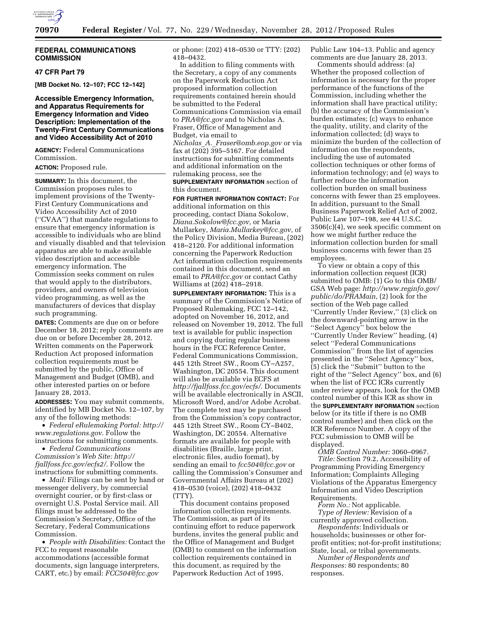

## **FEDERAL COMMUNICATIONS COMMISSION**

## **47 CFR Part 79**

**[MB Docket No. 12–107; FCC 12–142]** 

# **Accessible Emergency Information, and Apparatus Requirements for Emergency Information and Video Description: Implementation of the Twenty-First Century Communications and Video Accessibility Act of 2010**

**AGENCY:** Federal Communications Commission.

# **ACTION:** Proposed rule.

**SUMMARY:** In this document, the Commission proposes rules to implement provisions of the Twenty-First Century Communications and Video Accessibility Act of 2010 (''CVAA'') that mandate regulations to ensure that emergency information is accessible to individuals who are blind and visually disabled and that television apparatus are able to make available video description and accessible emergency information. The Commission seeks comment on rules that would apply to the distributors, providers, and owners of television video programming, as well as the manufacturers of devices that display such programming.

**DATES:** Comments are due on or before December 18, 2012; reply comments are due on or before December 28, 2012. Written comments on the Paperwork Reduction Act proposed information collection requirements must be submitted by the public, Office of Management and Budget (OMB), and other interested parties on or before January 28, 2013.

**ADDRESSES:** You may submit comments, identified by MB Docket No. 12–107, by any of the following methods:

• *Federal eRulemaking Portal: [http://](http://www.regulations.gov)  [www.regulations.gov](http://www.regulations.gov)*. Follow the instructions for submitting comments.

• *Federal Communications Commission's Web Site: [http://](http://fjallfoss.fcc.gov/ecfs2/)  [fjallfoss.fcc.gov/ecfs2/](http://fjallfoss.fcc.gov/ecfs2/)*. Follow the instructions for submitting comments.

• *Mail:* Filings can be sent by hand or messenger delivery, by commercial overnight courier, or by first-class or overnight U.S. Postal Service mail. All filings must be addressed to the Commission's Secretary, Office of the Secretary, Federal Communications Commission.

• *People with Disabilities:* Contact the FCC to request reasonable accommodations (accessible format documents, sign language interpreters, CART, etc.) by email: *[FCC504@fcc.gov](mailto:FCC504@fcc.gov)* 

or phone: (202) 418–0530 or TTY: (202) 418–0432.

In addition to filing comments with the Secretary, a copy of any comments on the Paperwork Reduction Act proposed information collection requirements contained herein should be submitted to the Federal Communications Commission via email to *[PRA@fcc.gov](mailto:PRA@fcc.gov)* and to Nicholas A. Fraser, Office of Management and Budget, via email to *Nicholas*\_*A.*\_*[Fraser@omb.eop.gov](mailto:Nicholas_A._Fraser@omb.eop.gov)* or via fax at (202) 395–5167. For detailed instructions for submitting comments and additional information on the rulemaking process, see the **SUPPLEMENTARY INFORMATION** section of this document.

**FOR FURTHER INFORMATION CONTACT:** For additional information on this proceeding, contact Diana Sokolow, *[Diana.Sokolow@fcc.gov](mailto:Diana.Sokolow@fcc.gov)*, or Maria Mullarkey, *[Maria.Mullarkey@fcc.gov](mailto:Maria.Mullarkey@fcc.gov)*, of the Policy Division, Media Bureau, (202) 418–2120. For additional information concerning the Paperwork Reduction Act information collection requirements contained in this document, send an email to *[PRA@fcc.gov](mailto:PRA@fcc.gov)* or contact Cathy Williams at (202) 418–2918.

**SUPPLEMENTARY INFORMATION:** This is a summary of the Commission's Notice of Proposed Rulemaking, FCC 12–142, adopted on November 16, 2012, and released on November 19, 2012. The full text is available for public inspection and copying during regular business hours in the FCC Reference Center, Federal Communications Commission, 445 12th Street SW., Room CY–A257, Washington, DC 20554. This document will also be available via ECFS at *<http://fjallfoss.fcc.gov/ecfs/>*. Documents will be available electronically in ASCII, Microsoft Word, and/or Adobe Acrobat. The complete text may be purchased from the Commission's copy contractor, 445 12th Street SW., Room CY–B402, Washington, DC 20554. Alternative formats are available for people with disabilities (Braille, large print, electronic files, audio format), by sending an email to *[fcc504@fcc.gov](mailto:fcc504@fcc.gov)* or calling the Commission's Consumer and Governmental Affairs Bureau at (202) 418–0530 (voice), (202) 418–0432 (TTY).

This document contains proposed information collection requirements. The Commission, as part of its continuing effort to reduce paperwork burdens, invites the general public and the Office of Management and Budget (OMB) to comment on the information collection requirements contained in this document, as required by the Paperwork Reduction Act of 1995,

Public Law 104–13. Public and agency comments are due January 28, 2013.

Comments should address: (a) Whether the proposed collection of information is necessary for the proper performance of the functions of the Commission, including whether the information shall have practical utility; (b) the accuracy of the Commission's burden estimates; (c) ways to enhance the quality, utility, and clarity of the information collected; (d) ways to minimize the burden of the collection of information on the respondents, including the use of automated collection techniques or other forms of information technology; and (e) ways to further reduce the information collection burden on small business concerns with fewer than 25 employees. In addition, pursuant to the Small Business Paperwork Relief Act of 2002, Public Law 107–198, *see* 44 U.S.C. 3506(c)(4), we seek specific comment on how we might further reduce the information collection burden for small business concerns with fewer than 25 employees.

To view or obtain a copy of this information collection request (ICR) submitted to OMB: (1) Go to this OMB/ GSA Web page: *[http://www.reginfo.gov/](http://www.reginfo.gov/public/do/PRAMain)  [public/do/PRAMain](http://www.reginfo.gov/public/do/PRAMain)*, (2) look for the section of the Web page called ''Currently Under Review,'' (3) click on the downward-pointing arrow in the ''Select Agency'' box below the ''Currently Under Review'' heading, (4) select ''Federal Communications Commission'' from the list of agencies presented in the ''Select Agency'' box, (5) click the ''Submit'' button to the right of the ''Select Agency'' box, and (6) when the list of FCC ICRs currently under review appears, look for the OMB control number of this ICR as show in the **SUPPLEMENTARY INFORMATION** section below (or its title if there is no OMB control number) and then click on the ICR Reference Number. A copy of the FCC submission to OMB will be displayed.

*OMB Control Number:* 3060–0967. *Title:* Section 79.2, Accessibility of Programming Providing Emergency Information; Complaints Alleging Violations of the Apparatus Emergency Information and Video Description Requirements.

*Form No.:* Not applicable. *Type of Review:* Revision of a currently approved collection.

*Respondents:* Individuals or households; businesses or other forprofit entities; not-for-profit institutions; State, local, or tribal governments.

*Number of Respondents and Responses:* 80 respondents; 80 responses.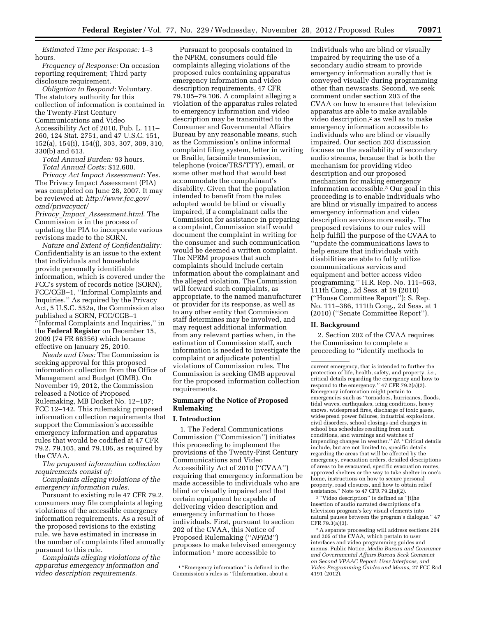*Estimated Time per Response:* 1–3 hours.

*Frequency of Response:* On occasion reporting requirement; Third party disclosure requirement.

*Obligation to Respond:* Voluntary. The statutory authority for this collection of information is contained in the Twenty-First Century Communications and Video Accessibility Act of 2010, Pub. L. 111– 260, 124 Stat. 2751, and 47 U.S.C. 151, 152(a), 154(i), 154(j), 303, 307, 309, 310, 330(b) and 613.

*Total Annual Burden:* 93 hours. *Total Annual Costs:* \$12,600.

*Privacy Act Impact Assessment:* Yes. The Privacy Impact Assessment (PIA) was completed on June 28, 2007. It may be reviewed at: *[http://www.fcc.gov/](http://www.fcc.gov/omd/privacyact/Privacy_Impact_Assessment.html)  [omd/privacyact/](http://www.fcc.gov/omd/privacyact/Privacy_Impact_Assessment.html)* 

*Privacy*\_*Impact*\_*[Assessment.html](http://www.fcc.gov/omd/privacyact/Privacy_Impact_Assessment.html)*. The Commission is in the process of updating the PIA to incorporate various revisions made to the SORN.

*Nature and Extent of Confidentiality:*  Confidentiality is an issue to the extent that individuals and households provide personally identifiable information, which is covered under the FCC's system of records notice (SORN), FCC/CGB–1, ''Informal Complaints and Inquiries.'' As required by the Privacy Act, 5 U.S.C. 552a, the Commission also published a SORN, FCC/CGB–1 ''Informal Complaints and Inquiries,'' in the **Federal Register** on December 15, 2009 (74 FR 66356) which became effective on January 25, 2010.

*Needs and Uses:* The Commission is seeking approval for this proposed information collection from the Office of Management and Budget (OMB). On November 19, 2012, the Commission released a Notice of Proposed Rulemaking, MB Docket No. 12–107; FCC 12–142. This rulemaking proposed information collection requirements that support the Commission's accessible emergency information and apparatus rules that would be codified at 47 CFR 79.2, 79.105, and 79.106, as required by the CVAA.

*The proposed information collection requirements consist of:* 

*Complaints alleging violations of the emergency information rules.* 

Pursuant to existing rule 47 CFR 79.2, consumers may file complaints alleging violations of the accessible emergency information requirements. As a result of the proposed revisions to the existing rule, we have estimated in increase in the number of complaints filed annually pursuant to this rule.

*Complaints alleging violations of the apparatus emergency information and video description requirements.* 

Pursuant to proposals contained in the NPRM, consumers could file complaints alleging violations of the proposed rules containing apparatus emergency information and video description requirements, 47 CFR 79.105–79.106. A complaint alleging a violation of the apparatus rules related to emergency information and video description may be transmitted to the Consumer and Governmental Affairs Bureau by any reasonable means, such as the Commission's online informal complaint filing system, letter in writing or Braille, facsimile transmission, telephone (voice/TRS/TTY), email, or some other method that would best accommodate the complainant's disability. Given that the population intended to benefit from the rules adopted would be blind or visually impaired, if a complainant calls the Commission for assistance in preparing a complaint, Commission staff would document the complaint in writing for the consumer and such communication would be deemed a written complaint. The NPRM proposes that such complaints should include certain information about the complainant and the alleged violation. The Commission will forward such complaints, as appropriate, to the named manufacturer or provider for its response, as well as to any other entity that Commission staff determines may be involved, and may request additional information from any relevant parties when, in the estimation of Commission staff, such information is needed to investigate the complaint or adjudicate potential violations of Commission rules. The Commission is seeking OMB approval for the proposed information collection requirements.

## **Summary of the Notice of Proposed Rulemaking**

## **I. Introduction**

1. The Federal Communications Commission (''Commission'') initiates this proceeding to implement the provisions of the Twenty-First Century Communications and Video Accessibility Act of 2010 (''CVAA'') requiring that emergency information be made accessible to individuals who are blind or visually impaired and that certain equipment be capable of delivering video description and emergency information to those individuals. First, pursuant to section 202 of the CVAA, this Notice of Proposed Rulemaking (''*NPRM''*) proposes to make televised emergency information 1 more accessible to

individuals who are blind or visually impaired by requiring the use of a secondary audio stream to provide emergency information aurally that is conveyed visually during programming other than newscasts. Second, we seek comment under section 203 of the CVAA on how to ensure that television apparatus are able to make available video description,2 as well as to make emergency information accessible to individuals who are blind or visually impaired. Our section 203 discussion focuses on the availability of secondary audio streams, because that is both the mechanism for providing video description and our proposed mechanism for making emergency information accessible.3 Our goal in this proceeding is to enable individuals who are blind or visually impaired to access emergency information and video description services more easily. The proposed revisions to our rules will help fulfill the purpose of the CVAA to ''update the communications laws to help ensure that individuals with disabilities are able to fully utilize communications services and equipment and better access video programming.'' H.R. Rep. No. 111–563, 111th Cong., 2d Sess. at 19 (2010) (''House Committee Report''); S. Rep. No. 111–386, 111th Cong., 2d Sess. at 1 (2010) (''Senate Committee Report'').

## **II. Background**

2. Section 202 of the CVAA requires the Commission to complete a proceeding to ''identify methods to

2 ''Video description'' is defined as ''[t]he insertion of audio narrated descriptions of a television program's key visual elements into natural pauses between the program's dialogue.'' 47 CFR 79.3(a)(3).

3A separate proceeding will address sections 204 and 205 of the CVAA, which pertain to user interfaces and video programming guides and menus. Public Notice, *Media Bureau and Consumer and Governmental Affairs Bureau Seek Comment on Second VPAAC Report: User Interfaces, and Video Programming Guides and Menus,* 27 FCC Rcd 4191 (2012).

<sup>1</sup> ''Emergency information'' is defined in the Commission's rules as ''[i]nformation, about a

current emergency, that is intended to further the protection of life, health, safety, and property, *i.e.,*  critical details regarding the emergency and how to respond to the emergency.'' 47 CFR 79.2(a)(2). Emergency information might pertain to emergencies such as ''tornadoes, hurricanes, floods, tidal waves, earthquakes, icing conditions, heavy snows, widespread fires, discharge of toxic gases, widespread power failures, industrial explosions, civil disorders, school closings and changes in school bus schedules resulting from such conditions, and warnings and watches of impending changes in weather." Id. "Critical details include, but are not limited to, specific details regarding the areas that will be affected by the emergency, evacuation orders, detailed descriptions of areas to be evacuated, specific evacuation routes, approved shelters or the way to take shelter in one's home, instructions on how to secure personal property, road closures, and how to obtain relief assistance.'' Note to 47 CFR 79.2(a)(2).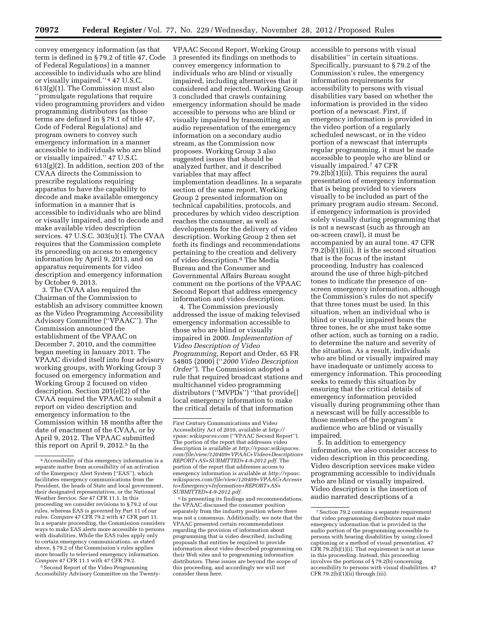convey emergency information (as that term is defined in § 79.2 of title 47, Code of Federal Regulations) in a manner accessible to individuals who are blind or visually impaired.'' 4 47 U.S.C. 613(g)(1). The Commission must also ''promulgate regulations that require video programming providers and video programming distributors (as those terms are defined in § 79.1 of title 47, Code of Federal Regulations) and program owners to convey such emergency information in a manner accessible to individuals who are blind or visually impaired.'' 47 U.S.C. 613(g)(2). In addition, section 203 of the CVAA directs the Commission to prescribe regulations requiring apparatus to have the capability to decode and make available emergency information in a manner that is accessible to individuals who are blind or visually impaired, and to decode and make available video description services. 47 U.S.C. 303(u)(1). The CVAA requires that the Commission complete its proceeding on access to emergency information by April 9, 2013, and on apparatus requirements for video description and emergency information by October 9, 2013.

3. The CVAA also required the Chairman of the Commission to establish an advisory committee known as the Video Programming Accessibility Advisory Committee (''VPAAC''). The Commission announced the establishment of the VPAAC on December 7, 2010, and the committee began meeting in January 2011. The VPAAC divided itself into four advisory working groups, with Working Group 3 focused on emergency information and Working Group 2 focused on video description. Section 201(e)(2) of the CVAA required the VPAAC to submit a report on video description and emergency information to the Commission within 18 months after the date of enactment of the CVAA, or by April 9, 2012. The VPAAC submitted this report on April 9, 2012.5 In the

5Second Report of the Video Programming Accessibility Advisory Committee on the Twenty-

VPAAC Second Report, Working Group 3 presented its findings on methods to convey emergency information to individuals who are blind or visually impaired, including alternatives that it considered and rejected. Working Group 3 concluded that crawls containing emergency information should be made accessible to persons who are blind or visually impaired by transmitting an audio representation of the emergency information on a secondary audio stream, as the Commission now proposes. Working Group 3 also suggested issues that should be analyzed further, and it described variables that may affect implementation deadlines. In a separate section of the same report, Working Group 2 presented information on technical capabilities, protocols, and procedures by which video description reaches the consumer, as well as developments for the delivery of video description. Working Group 2 then set forth its findings and recommendations pertaining to the creation and delivery of video description.<sup>6</sup> The Media Bureau and the Consumer and Governmental Affairs Bureau sought comment on the portions of the VPAAC Second Report that address emergency information and video description.

4. The Commission previously addressed the issue of making televised emergency information accessible to those who are blind or visually impaired in 2000. *Implementation of Video Description of Video Programming,* Report and Order, 65 FR 54805 (2000) (''*2000 Video Description Order''*). The Commission adopted a rule that required broadcast stations and multichannel video programming distributors (''MVPDs'') ''that provide[] local emergency information to make the critical details of that information

6 In presenting its findings and recommendations, the VPAAC discussed the consumer position separately from the industry position where there was not a consensus. Additionally, we note that the VPAAC presented certain recommendations regarding the provision of information about programming that is video described, including proposals that entities be required to provide information about video described programming on their Web sites and to programming information distributors. These issues are beyond the scope of this proceeding, and accordingly we will not consider them here.

accessible to persons with visual disabilities'' in certain situations. Specifically, pursuant to § 79.2 of the Commission's rules, the emergency information requirements for accessibility to persons with visual disabilities vary based on whether the information is provided in the video portion of a newscast. First, if emergency information is provided in the video portion of a regularly scheduled newscast, or in the video portion of a newscast that interrupts regular programming, it must be made accessible to people who are blind or visually impaired.7 47 CFR 79.2(b)(1)(ii). This requires the aural presentation of emergency information that is being provided to viewers visually to be included as part of the primary program audio stream. Second, if emergency information is provided solely visually during programming that is not a newscast (such as through an on-screen crawl), it must be accompanied by an aural tone. 47 CFR 79.2(b)(1)(iii). It is the second situation that is the focus of the instant proceeding. Industry has coalesced around the use of three high-pitched tones to indicate the presence of onscreen emergency information, although the Commission's rules do not specify that three tones must be used. In this situation, when an individual who is blind or visually impaired hears the three tones, he or she must take some other action, such as turning on a radio, to determine the nature and severity of the situation. As a result, individuals who are blind or visually impaired may have inadequate or untimely access to emergency information. This proceeding seeks to remedy this situation by ensuring that the critical details of emergency information provided visually during programming other than a newscast will be fully accessible to those members of the program's audience who are blind or visually impaired.

5. In addition to emergency information, we also consider access to video description in this proceeding. Video description services make video programming accessible to individuals who are blind or visually impaired. Video description is the insertion of audio narrated descriptions of a

<sup>4</sup>Accessibility of this emergency information is a separate matter from accessibility of an activation of the Emergency Alert System (''EAS''), which facilitates emergency communications from the President, the heads of State and local government, their designated representatives, or the National Weather Service. *See* 47 CFR 11.1. In this proceeding we consider revisions to § 79.2 of our rules, whereas EAS is governed by Part 11 of our rules. *Compare* 47 CFR 79.2 with 47 CFR part 11. In a separate proceeding, the Commission considers ways to make EAS alerts more accessible to persons with disabilities. While the EAS rules apply only to certain emergency communications, as stated above, § 79.2 of the Commission's rules applies more broadly to televised emergency information. *Compare* 47 CFR 11.1 with 47 CFR 79.2.

First Century Communications and Video Accessibility Act of 2010, available at *[http://](http://vpaac.wikispaces.com) [vpaac.wikispaces.com](http://vpaac.wikispaces.com)* (''VPAAC Second Report''). The portion of the report that addresses video description is available at *[http://vpaac.wikispaces.](http://vpaac.wikispaces.com/file/view/120409+VPAAC+Video+Description+REPORT+AS+SUBMITTED+4-9-2012.pdf) [com/file/view/120409+VPAAC+Video+Description+](http://vpaac.wikispaces.com/file/view/120409+VPAAC+Video+Description+REPORT+AS+SUBMITTED+4-9-2012.pdf) [REPORT+AS+SUBMITTED+4-9-2012.pdf.](http://vpaac.wikispaces.com/file/view/120409+VPAAC+Video+Description+REPORT+AS+SUBMITTED+4-9-2012.pdf)* The portion of the report that addresses access to emergency information is available at *[http://vpaac.](http://vpaac.wikispaces.com/file/view/120409+VPAAC+Access+to+Emergency+Information+REPORT+AS+SUBMITTED+4-9-2012.pdf) [wikispaces.com/file/view/120409+VPAAC+Access+](http://vpaac.wikispaces.com/file/view/120409+VPAAC+Access+to+Emergency+Information+REPORT+AS+SUBMITTED+4-9-2012.pdf) [to+Emergency+Information+REPORT+AS+](http://vpaac.wikispaces.com/file/view/120409+VPAAC+Access+to+Emergency+Information+REPORT+AS+SUBMITTED+4-9-2012.pdf) [SUBMITTED+4-9-2012.pdf](http://vpaac.wikispaces.com/file/view/120409+VPAAC+Access+to+Emergency+Information+REPORT+AS+SUBMITTED+4-9-2012.pdf)*.

<sup>7</sup>Section 79.2 contains a separate requirement that video programming distributors must make emergency information that is provided in the audio portion of the programming accessible to persons with hearing disabilities by using closed captioning or a method of visual presentation. 47  $CFR$  79.2(b)(1)(i). That requirement is not at issue in this proceeding. Instead, this proceeding involves the portions of § 79.2(b) concerning accessibility to persons with visual disabilities. 47 CFR  $79.2(b)(i)$ (ii) through (iii).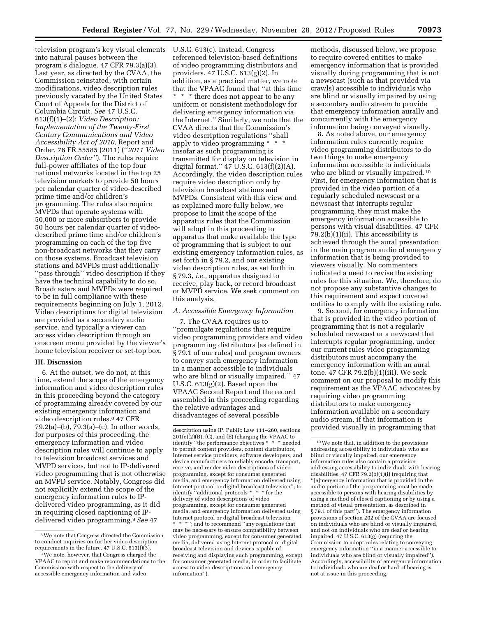television program's key visual elements U.S.C. 613(c). Instead, Congress into natural pauses between the program's dialogue. 47 CFR 79.3(a)(3). Last year, as directed by the CVAA, the Commission reinstated, with certain modifications, video description rules previously vacated by the United States Court of Appeals for the District of Columbia Circuit. *See* 47 U.S.C. 613(f)(1)–(2); *Video Description: Implementation of the Twenty-First Century Communications and Video Accessibility Act of 2010,* Report and Order, 76 FR 55585 (2011) (''*2011 Video Description Order''*). The rules require full-power affiliates of the top four national networks located in the top 25 television markets to provide 50 hours per calendar quarter of video-described prime time and/or children's programming. The rules also require MVPDs that operate systems with 50,000 or more subscribers to provide 50 hours per calendar quarter of videodescribed prime time and/or children's programming on each of the top five non-broadcast networks that they carry on those systems. Broadcast television stations and MVPDs must additionally ''pass through'' video description if they have the technical capability to do so. Broadcasters and MVPDs were required to be in full compliance with these requirements beginning on July 1, 2012. Video descriptions for digital television are provided as a secondary audio service, and typically a viewer can access video description through an onscreen menu provided by the viewer's home television receiver or set-top box.

### **III. Discussion**

6. At the outset, we do not, at this time, extend the scope of the emergency information and video description rules in this proceeding beyond the category of programming already covered by our existing emergency information and video description rules.8 47 CFR 79.2(a)–(b), 79.3(a)–(c). In other words, for purposes of this proceeding, the emergency information and video description rules will continue to apply to television broadcast services and MVPD services, but not to IP-delivered video programming that is not otherwise an MVPD service. Notably, Congress did not explicitly extend the scope of the emergency information rules to IPdelivered video programming, as it did in requiring closed captioning of IPdelivered video programming.9*See* 47

referenced television-based definitions of video programming distributors and providers. 47 U.S.C. 613(g)(2). In addition, as a practical matter, we note that the VPAAC found that ''at this time \* \* \* there does not appear to be any uniform or consistent methodology for delivering emergency information via the Internet.'' Similarly, we note that the CVAA directs that the Commission's video description regulations ''shall apply to video programming \* \* \* insofar as such programming is transmitted for display on television in digital format."  $47$  U.S.C.  $613(f)(2)(A)$ . Accordingly, the video description rules require video description only by television broadcast stations and MVPDs. Consistent with this view and as explained more fully below, we propose to limit the scope of the apparatus rules that the Commission will adopt in this proceeding to apparatus that make available the type of programming that is subject to our existing emergency information rules, as set forth in § 79.2, and our existing video description rules, as set forth in § 79.3, *i.e.,* apparatus designed to receive, play back, or record broadcast or MVPD service. We seek comment on this analysis.

### *A. Accessible Emergency Information*

7. The CVAA requires us to ''promulgate regulations that require video programming providers and video programming distributors [as defined in § 79.1 of our rules] and program owners to convey such emergency information in a manner accessible to individuals who are blind or visually impaired.'' 47 U.S.C. 613(g)(2). Based upon the VPAAC Second Report and the record assembled in this proceeding regarding the relative advantages and disadvantages of several possible

methods, discussed below, we propose to require covered entities to make emergency information that is provided visually during programming that is not a newscast (such as that provided via crawls) accessible to individuals who are blind or visually impaired by using a secondary audio stream to provide that emergency information aurally and concurrently with the emergency information being conveyed visually.

8. As noted above, our emergency information rules currently require video programming distributors to do two things to make emergency information accessible to individuals who are blind or visually impaired.<sup>10</sup> First, for emergency information that is provided in the video portion of a regularly scheduled newscast or a newscast that interrupts regular programming, they must make the emergency information accessible to persons with visual disabilities. 47 CFR  $79.2(b)(1)(ii)$ . This accessibility is achieved through the aural presentation in the main program audio of emergency information that is being provided to viewers visually. No commenters indicated a need to revise the existing rules for this situation. We, therefore, do not propose any substantive changes to this requirement and expect covered entities to comply with the existing rule.

9. Second, for emergency information that is provided in the video portion of programming that is not a regularly scheduled newscast or a newscast that interrupts regular programming, under our current rules video programming distributors must accompany the emergency information with an aural tone. 47 CFR 79.2(b)(1)(iii). We seek comment on our proposal to modify this requirement as the VPAAC advocates by requiring video programming distributors to make emergency information available on a secondary audio stream, if that information is provided visually in programming that

<sup>8</sup>We note that Congress directed the Commission to conduct inquiries on further video description requirements in the future. 47 U.S.C. 613(f)(3).

<sup>9</sup>We note, however, that Congress charged the VPAAC to report and make recommendations to the Commission with respect to the delivery of accessible emergency information and video

description using IP. Public Law 111–260, sections 201(e)(2)(B), (C), and (E) (charging the VPAAC to identify ''the performance objectives \* \* \* needed to permit content providers, content distributors, Internet service providers, software developers, and device manufacturers to reliably encode, transport, receive, and render video descriptions of video programming, except for consumer generated media, and emergency information delivered using Internet protocol or digital broadcast television''; to identify ''additional protocols \* \* \* for the delivery of video descriptions of video programming, except for consumer generated media, and emergency information delivered using Internet protocol or digital broadcast television \* \* \*''; and to recommend ''any regulations that may be necessary to ensure compatibility between video programming, except for consumer generated media, delivered using Internet protocol or digital broadcast television and devices capable of receiving and displaying such programming, except for consumer generated media, in order to facilitate access to video descriptions and emergency information'').

<sup>10</sup>We note that, in addition to the provisions addressing accessibility to individuals who are blind or visually impaired, our emergency information rules also contain a provision addressing accessibility to individuals with hearing disabilities. 47 CFR 79.2(b)(1)(i) (requiring that ''[e]mergency information that is provided in the audio portion of the programming must be made accessible to persons with hearing disabilities by using a method of closed captioning or by using a method of visual presentation, as described in § 79.1 of this part"). The emergency information provisions of section 202 of the CVAA are focused on individuals who are blind or visually impaired, and not on individuals who are deaf or hearing impaired. 47 U.S.C. 613(g) (requiring the Commission to adopt rules relating to conveying emergency information ''in a manner accessible to individuals who are blind or visually impaired''). Accordingly, accessibility of emergency information to individuals who are deaf or hard of hearing is not at issue in this proceeding.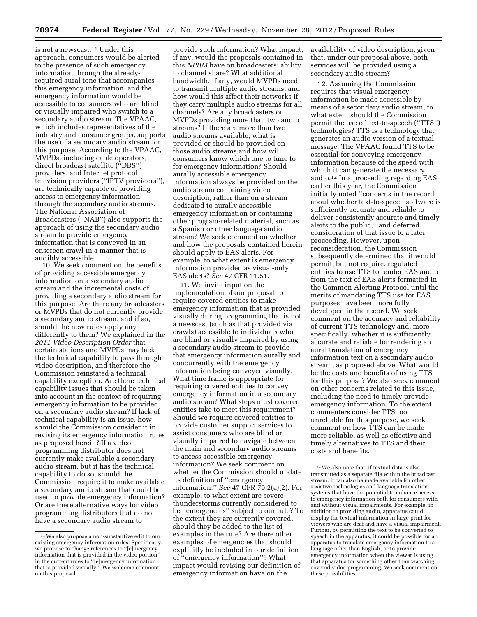is not a newscast.11 Under this approach, consumers would be alerted to the presence of such emergency information through the alreadyrequired aural tone that accompanies this emergency information, and the emergency information would be accessible to consumers who are blind or visually impaired who switch to a secondary audio stream. The VPAAC, which includes representatives of the industry and consumer groups, supports the use of a secondary audio stream for this purpose. According to the VPAAC, MVPDs, including cable operators, direct broadcast satellite (''DBS'') providers, and Internet protocol television providers (''IPTV providers''), are technically capable of providing access to emergency information through the secondary audio streams. The National Association of Broadcasters (''NAB'') also supports the approach of using the secondary audio stream to provide emergency information that is conveyed in an onscreen crawl in a manner that is audibly accessible.

10. We seek comment on the benefits of providing accessible emergency information on a secondary audio stream and the incremental costs of providing a secondary audio stream for this purpose. Are there any broadcasters or MVPDs that do not currently provide a secondary audio stream, and if so, should the new rules apply any differently to them? We explained in the *2011 Video Description Order* that certain stations and MVPDs may lack the technical capability to pass through video description, and therefore the Commission reinstated a technical capability exception. Are there technical capability issues that should be taken into account in the context of requiring emergency information to be provided on a secondary audio stream? If lack of technical capability is an issue, how should the Commission consider it in revising its emergency information rules as proposed herein? If a video programming distributor does not currently make available a secondary audio stream, but it has the technical capability to do so, should the Commission require it to make available a secondary audio stream that could be used to provide emergency information? Or are there alternative ways for video programming distributors that do not have a secondary audio stream to

provide such information? What impact, if any, would the proposals contained in this *NPRM* have on broadcasters' ability to channel share? What additional bandwidth, if any, would MVPDs need to transmit multiple audio streams, and how would this affect their networks if they carry multiple audio streams for all channels? Are any broadcasters or MVPDs providing more than two audio streams? If there are more than two audio streams available, what is provided or should be provided on those audio streams and how will consumers know which one to tune to for emergency information? Should aurally accessible emergency information always be provided on the audio stream containing video description, rather than on a stream dedicated to aurally accessible emergency information or containing other program-related material, such as a Spanish or other language audio stream? We seek comment on whether and how the proposals contained herein should apply to EAS alerts. For example, to what extent is emergency information provided as visual-only EAS alerts? *See* 47 CFR 11.51.

11. We invite input on the implementation of our proposal to require covered entities to make emergency information that is provided visually during programming that is not a newscast (such as that provided via crawls) accessible to individuals who are blind or visually impaired by using a secondary audio stream to provide that emergency information aurally and concurrently with the emergency information being conveyed visually. What time frame is appropriate for requiring covered entities to convey emergency information in a secondary audio stream? What steps must covered entities take to meet this requirement? Should we require covered entities to provide customer support services to assist consumers who are blind or visually impaired to navigate between the main and secondary audio streams to access accessible emergency information? We seek comment on whether the Commission should update its definition of ''emergency information.'' *See* 47 CFR 79.2(a)(2). For example, to what extent are severe thunderstorms currently considered to be ''emergencies'' subject to our rule? To the extent they are currently covered, should they be added to the list of examples in the rule? Are there other examples of emergencies that should explicitly be included in our definition of ''emergency information''? What impact would revising our definition of emergency information have on the

availability of video description, given that, under our proposal above, both services will be provided using a secondary audio stream?

12. Assuming the Commission requires that visual emergency information be made accessible by means of a secondary audio stream, to what extent should the Commission permit the use of text-to-speech (''TTS'') technologies? TTS is a technology that generates an audio version of a textual message. The VPAAC found TTS to be essential for conveying emergency information because of the speed with which it can generate the necessary audio.12 In a proceeding regarding EAS earlier this year, the Commission initially noted ''concerns in the record about whether text-to-speech software is sufficiently accurate and reliable to deliver consistently accurate and timely alerts to the public,'' and deferred consideration of that issue to a later proceeding. However, upon reconsideration, the Commission subsequently determined that it would permit, but not require, regulated entities to use TTS to render EAS audio from the text of EAS alerts formatted in the Common Alerting Protocol until the merits of mandating TTS use for EAS purposes have been more fully developed in the record. We seek comment on the accuracy and reliability of current TTS technology and, more specifically, whether it is sufficiently accurate and reliable for rendering an aural translation of emergency information text on a secondary audio stream, as proposed above. What would be the costs and benefits of using TTS for this purpose? We also seek comment on other concerns related to this issue, including the need to timely provide emergency information. To the extent commenters consider TTS too unreliable for this purpose, we seek comment on how TTS can be made more reliable, as well as effective and timely alternatives to TTS and their costs and benefits.

<sup>11</sup>We also propose a non-substantive edit to our existing emergency information rules. Specifically, we propose to change references to ''[e]mergency information that is provided in the video portion'' in the current rules to ''[e]mergency information that is provided visually.'' We welcome comment on this proposal.

<sup>12</sup>We also note that, if textual data is also transmitted as a separate file within the broadcast stream, it can also be made available for other assistive technologies and language translation systems that have the potential to enhance access to emergency information both for consumers with and without visual impairments. For example, in addition to providing audio, apparatus could display the textual information in large print for viewers who are deaf and have a visual impairment. Further, by permitting the text to be converted to speech in the apparatus, it could be possible for an apparatus to translate emergency information to a language other than English, or to provide emergency information when the viewer is using that apparatus for something other than watching covered video programming. We seek comment on these possibilities.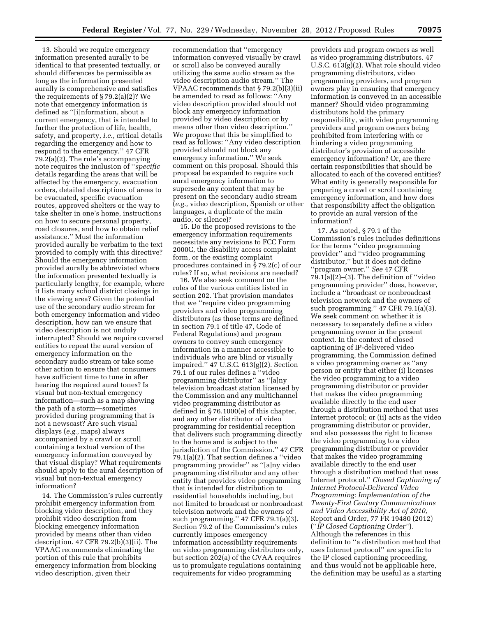13. Should we require emergency information presented aurally to be identical to that presented textually, or should differences be permissible as long as the information presented aurally is comprehensive and satisfies the requirements of § 79.2(a)(2)? We note that emergency information is defined as ''[i]nformation, about a current emergency, that is intended to further the protection of life, health, safety, and property, *i.e.,* critical details regarding the emergency and how to respond to the emergency.'' 47 CFR 79.2(a)(2). The rule's accompanying note requires the inclusion of ''*specific*  details regarding the areas that will be affected by the emergency, evacuation orders, detailed descriptions of areas to be evacuated, specific evacuation routes, approved shelters or the way to take shelter in one's home, instructions on how to secure personal property, road closures, and how to obtain relief assistance.'' Must the information provided aurally be verbatim to the text provided to comply with this directive? Should the emergency information provided aurally be abbreviated where the information presented textually is particularly lengthy, for example, where it lists many school district closings in the viewing area? Given the potential use of the secondary audio stream for both emergency information and video description, how can we ensure that video description is not unduly interrupted? Should we require covered entities to repeat the aural version of emergency information on the secondary audio stream or take some other action to ensure that consumers have sufficient time to tune in after hearing the required aural tones? Is visual but non-textual emergency information—such as a map showing the path of a storm—sometimes provided during programming that is not a newscast? Are such visual displays (*e.g.,* maps) always accompanied by a crawl or scroll containing a textual version of the emergency information conveyed by that visual display? What requirements should apply to the aural description of visual but non-textual emergency information?

14. The Commission's rules currently prohibit emergency information from blocking video description, and they prohibit video description from blocking emergency information provided by means other than video description. 47 CFR 79.2(b)(3)(ii). The VPAAC recommends eliminating the portion of this rule that prohibits emergency information from blocking video description, given their

recommendation that ''emergency information conveyed visually by crawl or scroll also be conveyed aurally utilizing the same audio stream as the video description audio stream.'' The VPAAC recommends that § 79.2(b)(3)(ii) be amended to read as follows: ''Any video description provided should not block any emergency information provided by video description or by means other than video description.'' We propose that this be simplified to read as follows: ''Any video description provided should not block any emergency information.'' We seek comment on this proposal. Should this proposal be expanded to require such aural emergency information to supersede any content that may be present on the secondary audio stream (*e.g.,* video description, Spanish or other languages, a duplicate of the main audio, or silence)?

15. Do the proposed revisions to the emergency information requirements necessitate any revisions to FCC Form 2000C, the disability access complaint form, or the existing complaint procedures contained in § 79.2(c) of our rules? If so, what revisions are needed?

16. We also seek comment on the roles of the various entities listed in section 202. That provision mandates that we ''require video programming providers and video programming distributors (as those terms are defined in section 79.1 of title 47, Code of Federal Regulations) and program owners to convey such emergency information in a manner accessible to individuals who are blind or visually impaired.'' 47 U.S.C. 613(g)(2). Section 79.1 of our rules defines a ''video programming distributor'' as ''[a]ny television broadcast station licensed by the Commission and any multichannel video programming distributor as defined in § 76.1000(e) of this chapter, and any other distributor of video programming for residential reception that delivers such programming directly to the home and is subject to the jurisdiction of the Commission.'' 47 CFR 79.1(a)(2). That section defines a ''video programming provider'' as ''[a]ny video programming distributor and any other entity that provides video programming that is intended for distribution to residential households including, but not limited to broadcast or nonbroadcast television network and the owners of such programming.'' 47 CFR 79.1(a)(3). Section 79.2 of the Commission's rules currently imposes emergency information accessibility requirements on video programming distributors only, but section 202(a) of the CVAA requires us to promulgate regulations containing requirements for video programming

providers and program owners as well as video programming distributors. 47 U.S.C. 613(g)(2). What role should video programming distributors, video programming providers, and program owners play in ensuring that emergency information is conveyed in an accessible manner? Should video programming distributors hold the primary responsibility, with video programming providers and program owners being prohibited from interfering with or hindering a video programming distributor's provision of accessible emergency information? Or, are there certain responsibilities that should be allocated to each of the covered entities? What entity is generally responsible for preparing a crawl or scroll containing emergency information, and how does that responsibility affect the obligation to provide an aural version of the information?

17. As noted, § 79.1 of the Commission's rules includes definitions for the terms ''video programming provider'' and ''video programming distributor,'' but it does not define ''program owner.'' *See* 47 CFR  $79.1(a)(2)–(3)$ . The definition of "video" programming provider'' does, however, include a ''broadcast or nonbroadcast television network and the owners of such programming.'' 47 CFR 79.1(a)(3). We seek comment on whether it is necessary to separately define a video programming owner in the present context. In the context of closed captioning of IP-delivered video programming, the Commission defined a video programming owner as ''any person or entity that either (i) licenses the video programming to a video programming distributor or provider that makes the video programming available directly to the end user through a distribution method that uses Internet protocol; or (ii) acts as the video programming distributor or provider, and also possesses the right to license the video programming to a video programming distributor or provider that makes the video programming available directly to the end user through a distribution method that uses Internet protocol.'' *Closed Captioning of Internet Protocol-Delivered Video Programming: Implementation of the Twenty-First Century Communications and Video Accessibility Act of 2010,*  Report and Order, 77 FR 19480 (2012) (''*IP Closed Captioning Order''*). Although the references in this definition to ''a distribution method that uses Internet protocol'' are specific to the IP closed captioning proceeding, and thus would not be applicable here, the definition may be useful as a starting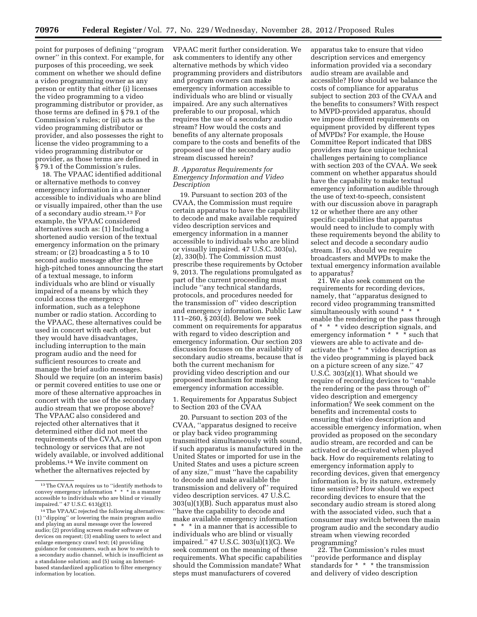point for purposes of defining ''program owner'' in this context. For example, for purposes of this proceeding, we seek comment on whether we should define a video programming owner as any person or entity that either (i) licenses the video programming to a video programming distributor or provider, as those terms are defined in § 79.1 of the Commission's rules; or (ii) acts as the video programming distributor or provider, and also possesses the right to license the video programming to a video programming distributor or provider, as those terms are defined in § 79.1 of the Commission's rules.

18. The VPAAC identified additional or alternative methods to convey emergency information in a manner accessible to individuals who are blind or visually impaired, other than the use of a secondary audio stream.13 For example, the VPAAC considered alternatives such as: (1) Including a shortened audio version of the textual emergency information on the primary stream; or (2) broadcasting a 5 to 10 second audio message after the three high-pitched tones announcing the start of a textual message, to inform individuals who are blind or visually impaired of a means by which they could access the emergency information, such as a telephone number or radio station. According to the VPAAC, these alternatives could be used in concert with each other, but they would have disadvantages, including interruption to the main program audio and the need for sufficient resources to create and manage the brief audio messages. Should we require (on an interim basis) or permit covered entities to use one or more of these alternative approaches in concert with the use of the secondary audio stream that we propose above? The VPAAC also considered and rejected other alternatives that it determined either did not meet the requirements of the CVAA, relied upon technology or services that are not widely available, or involved additional problems.14 We invite comment on whether the alternatives rejected by

VPAAC merit further consideration. We ask commenters to identify any other alternative methods by which video programming providers and distributors and program owners can make emergency information accessible to individuals who are blind or visually impaired. Are any such alternatives preferable to our proposal, which requires the use of a secondary audio stream? How would the costs and benefits of any alternate proposals compare to the costs and benefits of the proposed use of the secondary audio stream discussed herein?

# *B. Apparatus Requirements for Emergency Information and Video Description*

19. Pursuant to section 203 of the CVAA, the Commission must require certain apparatus to have the capability to decode and make available required video description services and emergency information in a manner accessible to individuals who are blind or visually impaired. 47 U.S.C. 303(u), (z), 330(b). The Commission must prescribe these requirements by October 9, 2013. The regulations promulgated as part of the current proceeding must include ''any technical standards, protocols, and procedures needed for the transmission of'' video description and emergency information. Public Law 111–260, § 203(d). Below we seek comment on requirements for apparatus with regard to video description and emergency information. Our section 203 discussion focuses on the availability of secondary audio streams, because that is both the current mechanism for providing video description and our proposed mechanism for making emergency information accessible.

1. Requirements for Apparatus Subject to Section 203 of the CVAA

20. Pursuant to section 203 of the CVAA, ''apparatus designed to receive or play back video programming transmitted simultaneously with sound, if such apparatus is manufactured in the United States or imported for use in the United States and uses a picture screen of any size,'' must ''have the capability to decode and make available the transmission and delivery of'' required video description services. 47 U.S.C. 303(u)(1)(B). Such apparatus must also ''have the capability to decode and make available emergency information \* \* \* in a manner that is accessible to

individuals who are blind or visually impaired.'' 47 U.S.C. 303(u)(1)(C). We seek comment on the meaning of these requirements. What specific capabilities should the Commission mandate? What steps must manufacturers of covered

apparatus take to ensure that video description services and emergency information provided via a secondary audio stream are available and accessible? How should we balance the costs of compliance for apparatus subject to section 203 of the CVAA and the benefits to consumers? With respect to MVPD-provided apparatus, should we impose different requirements on equipment provided by different types of MVPDs? For example, the House Committee Report indicated that DBS providers may face unique technical challenges pertaining to compliance with section 203 of the CVAA. We seek comment on whether apparatus should have the capability to make textual emergency information audible through the use of text-to-speech, consistent with our discussion above in paragraph 12 or whether there are any other specific capabilities that apparatus would need to include to comply with these requirements beyond the ability to select and decode a secondary audio stream. If so, should we require broadcasters and MVPDs to make the textual emergency information available to apparatus?

21. We also seek comment on the requirements for recording devices, namely, that ''apparatus designed to record video programming transmitted simultaneously with sound \* \* \* enable the rendering or the pass through of \* \* \* video description signals, and emergency information \* \* \* such that viewers are able to activate and deactivate the \* \* \* video description as the video programming is played back on a picture screen of any size.'' 47 U.S.C. 303(z)(1). What should we require of recording devices to ''enable the rendering or the pass through of'' video description and emergency information? We seek comment on the benefits and incremental costs to ensuring that video description and accessible emergency information, when provided as proposed on the secondary audio stream, are recorded and can be activated or de-activated when played back. How do requirements relating to emergency information apply to recording devices, given that emergency information is, by its nature, extremely time sensitive? How should we expect recording devices to ensure that the secondary audio stream is stored along with the associated video, such that a consumer may switch between the main program audio and the secondary audio stream when viewing recorded programming?

22. The Commission's rules must ''provide performance and display standards for \* \* \* the transmission and delivery of video description

<sup>13</sup>The CVAA requires us to ''identify methods to convey emergency information \* \* \* in a manner accessible to individuals who are blind or visually impaired.'' 47 U.S.C. 613(g)(1).

<sup>14</sup>The VPAAC rejected the following alternatives: (1) ''dipping'' or lowering the main program audio and playing an aural message over the lowered audio; (2) providing screen reader software or devices on request; (3) enabling users to select and enlarge emergency crawl text; (4) providing guidance for consumers, such as how to switch to a secondary audio channel, which is insufficient as a standalone solution; and (5) using an Internetbased standardized application to filter emergency information by location.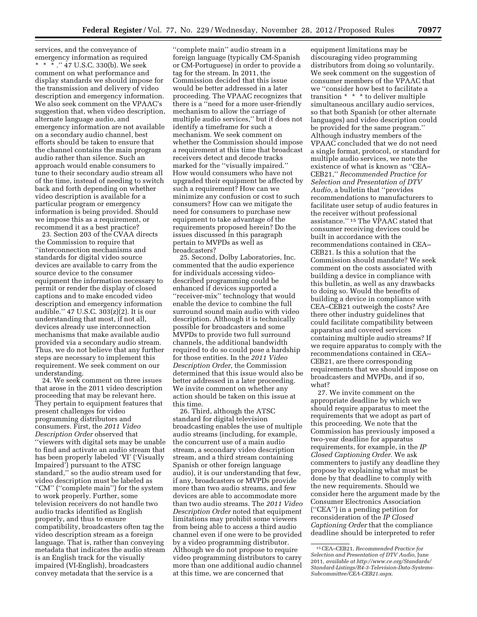services, and the conveyance of emergency information as required \* \* \* .'' 47 U.S.C. 330(b). We seek comment on what performance and display standards we should impose for the transmission and delivery of video description and emergency information. We also seek comment on the VPAAC's suggestion that, when video description, alternate language audio, and emergency information are not available on a secondary audio channel, best efforts should be taken to ensure that the channel contains the main program audio rather than silence. Such an approach would enable consumers to tune to their secondary audio stream all of the time, instead of needing to switch back and forth depending on whether video description is available for a particular program or emergency information is being provided. Should we impose this as a requirement, or recommend it as a best practice?

23. Section 203 of the CVAA directs the Commission to require that ''interconnection mechanisms and standards for digital video source devices are available to carry from the source device to the consumer equipment the information necessary to permit or render the display of closed captions and to make encoded video description and emergency information audible.'' 47 U.S.C. 303(z)(2). It is our understanding that most, if not all, devices already use interconnection mechanisms that make available audio provided via a secondary audio stream. Thus, we do not believe that any further steps are necessary to implement this requirement. We seek comment on our understanding.

24. We seek comment on three issues that arose in the 2011 video description proceeding that may be relevant here. They pertain to equipment features that present challenges for video programming distributors and consumers. First, the *2011 Video Description Order* observed that ''viewers with digital sets may be unable to find and activate an audio stream that has been properly labeled 'VI' ('Visually Impaired') pursuant to the ATSC standard,'' so the audio stream used for video description must be labeled as "CM" ("complete main") for the system to work properly. Further, some television receivers do not handle two audio tracks identified as English properly, and thus to ensure compatibility, broadcasters often tag the video description stream as a foreign language. That is, rather than conveying metadata that indicates the audio stream is an English track for the visually impaired (VI-English), broadcasters convey metadata that the service is a

''complete main'' audio stream in a foreign language (typically CM-Spanish or CM-Portuguese) in order to provide a tag for the stream. In 2011, the Commission decided that this issue would be better addressed in a later proceeding. The VPAAC recognizes that there is a ''need for a more user-friendly mechanism to allow the carriage of multiple audio services,'' but it does not identify a timeframe for such a mechanism. We seek comment on whether the Commission should impose a requirement at this time that broadcast receivers detect and decode tracks marked for the ''visually impaired.'' How would consumers who have not upgraded their equipment be affected by such a requirement? How can we minimize any confusion or cost to such consumers? How can we mitigate the need for consumers to purchase new equipment to take advantage of the requirements proposed herein? Do the issues discussed in this paragraph pertain to MVPDs as well as broadcasters?

25. Second, Dolby Laboratories, Inc. commented that the audio experience for individuals accessing videodescribed programming could be enhanced if devices supported a ''receiver-mix'' technology that would enable the device to combine the full surround sound main audio with video description. Although it is technically possible for broadcasters and some MVPDs to provide two full surround channels, the additional bandwidth required to do so could pose a hardship for those entities. In the *2011 Video Description Order,* the Commission determined that this issue would also be better addressed in a later proceeding. We invite comment on whether any action should be taken on this issue at this time.

26. Third, although the ATSC standard for digital television broadcasting enables the use of multiple audio streams (including, for example, the concurrent use of a main audio stream, a secondary video description stream, and a third stream containing Spanish or other foreign language audio), it is our understanding that few, if any, broadcasters or MVPDs provide more than two audio streams, and few devices are able to accommodate more than two audio streams. The *2011 Video Description Order* noted that equipment limitations may prohibit some viewers from being able to access a third audio channel even if one were to be provided by a video programming distributor. Although we do not propose to require video programming distributors to carry more than one additional audio channel at this time, we are concerned that

equipment limitations may be discouraging video programming distributors from doing so voluntarily. We seek comment on the suggestion of consumer members of the VPAAC that we ''consider how best to facilitate a transition \* \* \* to deliver multiple simultaneous ancillary audio services, so that both Spanish (or other alternate languages) and video description could be provided for the same program.'' Although industry members of the VPAAC concluded that we do not need a single format, protocol, or standard for multiple audio services, we note the existence of what is known as ''CEA– CEB21,'' *Recommended Practice for Selection and Presentation of DTV Audio,* a bulletin that ''provides recommendations to manufacturers to facilitate user setup of audio features in the receiver without professional assistance.'' 15 The VPAAC stated that consumer receiving devices could be built in accordance with the recommendations contained in CEA– CEB21. Is this a solution that the Commission should mandate? We seek comment on the costs associated with building a device in compliance with this bulletin, as well as any drawbacks to doing so. Would the benefits of building a device in compliance with CEA–CEB21 outweigh the costs? Are there other industry guidelines that could facilitate compatibility between apparatus and covered services containing multiple audio streams? If we require apparatus to comply with the recommendations contained in CEA– CEB21, are there corresponding requirements that we should impose on broadcasters and MVPDs, and if so, what?

27. We invite comment on the appropriate deadline by which we should require apparatus to meet the requirements that we adopt as part of this proceeding. We note that the Commission has previously imposed a two-year deadline for apparatus requirements, for example, in the *IP Closed Captioning Order.* We ask commenters to justify any deadline they propose by explaining what must be done by that deadline to comply with the new requirements. Should we consider here the argument made by the Consumer Electronics Association (''CEA'') in a pending petition for reconsideration of the *IP Closed Captioning Order* that the compliance deadline should be interpreted to refer

<sup>15</sup>CEA–CEB21, *Recommended Practice for Selection and Presentation of DTV Audio,* June 2011, *available at [http://www.ce.org/Standards/](http://www.ce.org/Standards/Standard-Listings/R4-3-Television-Data-Systems-Subcommittee/CEA-CEB21.aspx)  [Standard-Listings/R4-3-Television-Data-Systems-](http://www.ce.org/Standards/Standard-Listings/R4-3-Television-Data-Systems-Subcommittee/CEA-CEB21.aspx)[Subcommittee/CEA-CEB21.aspx](http://www.ce.org/Standards/Standard-Listings/R4-3-Television-Data-Systems-Subcommittee/CEA-CEB21.aspx)*.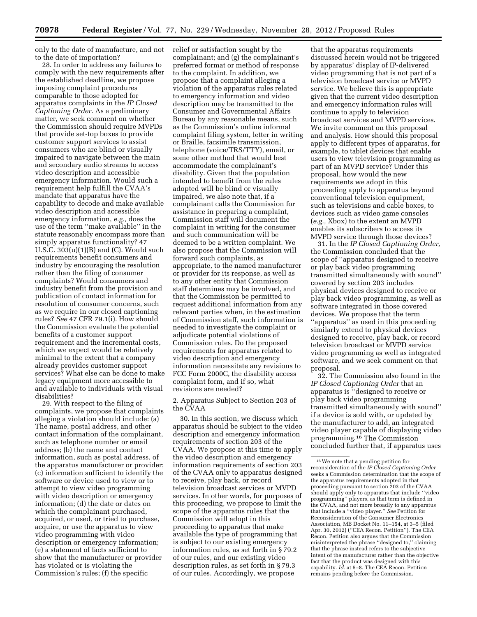only to the date of manufacture, and not to the date of importation?

28. In order to address any failures to comply with the new requirements after the established deadline, we propose imposing complaint procedures comparable to those adopted for apparatus complaints in the *IP Closed Captioning Order.* As a preliminary matter, we seek comment on whether the Commission should require MVPDs that provide set-top boxes to provide customer support services to assist consumers who are blind or visually impaired to navigate between the main and secondary audio streams to access video description and accessible emergency information. Would such a requirement help fulfill the CVAA's mandate that apparatus have the capability to decode and make available video description and accessible emergency information, *e.g.,* does the use of the term ''make available'' in the statute reasonably encompass more than simply apparatus functionality? 47 U.S.C. 303(u)(1)(B) and (C). Would such requirements benefit consumers and industry by encouraging the resolution rather than the filing of consumer complaints? Would consumers and industry benefit from the provision and publication of contact information for resolution of consumer concerns, such as we require in our closed captioning rules? *See* 47 CFR 79.1(i). How should the Commission evaluate the potential benefits of a customer support requirement and the incremental costs, which we expect would be relatively minimal to the extent that a company already provides customer support services? What else can be done to make legacy equipment more accessible to and available to individuals with visual disabilities?

29. With respect to the filing of complaints, we propose that complaints alleging a violation should include: (a) The name, postal address, and other contact information of the complainant, such as telephone number or email address; (b) the name and contact information, such as postal address, of the apparatus manufacturer or provider; (c) information sufficient to identify the software or device used to view or to attempt to view video programming with video description or emergency information; (d) the date or dates on which the complainant purchased, acquired, or used, or tried to purchase, acquire, or use the apparatus to view video programming with video description or emergency information; (e) a statement of facts sufficient to show that the manufacturer or provider has violated or is violating the Commission's rules; (f) the specific

relief or satisfaction sought by the complainant; and (g) the complainant's preferred format or method of response to the complaint. In addition, we propose that a complaint alleging a violation of the apparatus rules related to emergency information and video description may be transmitted to the Consumer and Governmental Affairs Bureau by any reasonable means, such as the Commission's online informal complaint filing system, letter in writing or Braille, facsimile transmission, telephone (voice/TRS/TTY), email, or some other method that would best accommodate the complainant's disability. Given that the population intended to benefit from the rules adopted will be blind or visually impaired, we also note that, if a complainant calls the Commission for assistance in preparing a complaint, Commission staff will document the complaint in writing for the consumer and such communication will be deemed to be a written complaint. We also propose that the Commission will forward such complaints, as appropriate, to the named manufacturer or provider for its response, as well as to any other entity that Commission staff determines may be involved, and that the Commission be permitted to request additional information from any relevant parties when, in the estimation of Commission staff, such information is needed to investigate the complaint or adjudicate potential violations of Commission rules. Do the proposed requirements for apparatus related to video description and emergency information necessitate any revisions to FCC Form 2000C, the disability access complaint form, and if so, what revisions are needed?

2. Apparatus Subject to Section 203 of the CVAA

30. In this section, we discuss which apparatus should be subject to the video description and emergency information requirements of section 203 of the CVAA. We propose at this time to apply the video description and emergency information requirements of section 203 of the CVAA only to apparatus designed to receive, play back, or record television broadcast services or MVPD services. In other words, for purposes of this proceeding, we propose to limit the scope of the apparatus rules that the Commission will adopt in this proceeding to apparatus that make available the type of programming that is subject to our existing emergency information rules, as set forth in § 79.2 of our rules, and our existing video description rules, as set forth in § 79.3 of our rules. Accordingly, we propose

that the apparatus requirements discussed herein would not be triggered by apparatus' display of IP-delivered video programming that is not part of a television broadcast service or MVPD service. We believe this is appropriate given that the current video description and emergency information rules will continue to apply to television broadcast services and MVPD services. We invite comment on this proposal and analysis. How should this proposal apply to different types of apparatus, for example, to tablet devices that enable users to view television programming as part of an MVPD service? Under this proposal, how would the new requirements we adopt in this proceeding apply to apparatus beyond conventional television equipment, such as televisions and cable boxes, to devices such as video game consoles (*e.g.,* Xbox) to the extent an MVPD enables its subscribers to access its MVPD service through those devices?

31. In the *IP Closed Captioning Order,*  the Commission concluded that the scope of ''apparatus designed to receive or play back video programming transmitted simultaneously with sound'' covered by section 203 includes physical devices designed to receive or play back video programming, as well as software integrated in those covered devices. We propose that the term ''apparatus'' as used in this proceeding similarly extend to physical devices designed to receive, play back, or record television broadcast or MVPD service video programming as well as integrated software, and we seek comment on that proposal.

32. The Commission also found in the *IP Closed Captioning Order* that an apparatus is ''designed to receive or play back video programming transmitted simultaneously with sound'' if a device is sold with, or updated by the manufacturer to add, an integrated video player capable of displaying video programming.16 The Commission concluded further that, if apparatus uses

<sup>16</sup>We note that a pending petition for reconsideration of the *IP Closed Captioning Order*  seeks a Commission determination that the scope of the apparatus requirements adopted in that proceeding pursuant to section 203 of the CVAA should apply only to apparatus that include ''video programming'' players, as that term is defined in the CVAA, and not more broadly to any apparatus that include a ''video player.'' *See* Petition for Reconsideration of the Consumer Electronics Association, MB Docket No. 11–154, at 3–5 (filed Apr. 30, 2012) (''CEA Recon. Petition''). The CEA Recon. Petition also argues that the Commission misinterpreted the phrase ''designed to,'' claiming that the phrase instead refers to the subjective intent of the manufacturer rather than the objective fact that the product was designed with this capability. *Id.* at 5–8. The CEA Recon. Petition remains pending before the Commission.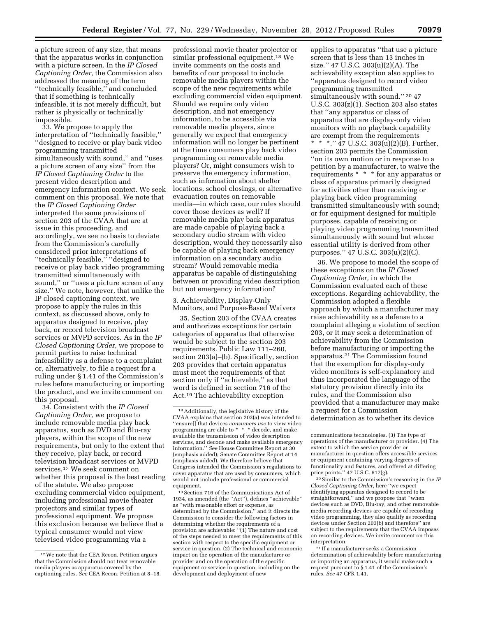a picture screen of any size, that means that the apparatus works in conjunction with a picture screen. In the *IP Closed Captioning Order,* the Commission also addressed the meaning of the term ''technically feasible,'' and concluded that if something is technically infeasible, it is not merely difficult, but rather is physically or technically

impossible. 33. We propose to apply the interpretation of ''technically feasible,'' ''designed to receive or play back video programming transmitted simultaneously with sound,'' and ''uses a picture screen of any size'' from the *IP Closed Captioning Order* to the present video description and emergency information context. We seek comment on this proposal. We note that the *IP Closed Captioning Order*  interpreted the same provisions of section 203 of the CVAA that are at issue in this proceeding, and accordingly, we see no basis to deviate from the Commission's carefully considered prior interpretations of ''technically feasible,'' ''designed to receive or play back video programming transmitted simultaneously with sound,'' or ''uses a picture screen of any size.'' We note, however, that unlike the IP closed captioning context, we propose to apply the rules in this context, as discussed above, only to apparatus designed to receive, play back, or record television broadcast services or MVPD services. As in the *IP Closed Captioning Order,* we propose to permit parties to raise technical infeasibility as a defense to a complaint or, alternatively, to file a request for a ruling under § 1.41 of the Commission's rules before manufacturing or importing the product, and we invite comment on this proposal.

34. Consistent with the *IP Closed Captioning Order,* we propose to include removable media play back apparatus, such as DVD and Blu-ray players, within the scope of the new requirements, but only to the extent that they receive, play back, or record television broadcast services or MVPD services.17 We seek comment on whether this proposal is the best reading of the statute. We also propose excluding commercial video equipment, including professional movie theater projectors and similar types of professional equipment. We propose this exclusion because we believe that a typical consumer would not view televised video programming via a

professional movie theater projector or similar professional equipment.18 We invite comments on the costs and benefits of our proposal to include removable media players within the scope of the new requirements while excluding commercial video equipment. Should we require only video description, and not emergency information, to be accessible via removable media players, since generally we expect that emergency information will no longer be pertinent at the time consumers play back video programming on removable media players? Or, might consumers wish to preserve the emergency information, such as information about shelter locations, school closings, or alternative evacuation routes on removable media—in which case, our rules should cover those devices as well? If removable media play back apparatus are made capable of playing back a secondary audio stream with video description, would they necessarily also be capable of playing back emergency information on a secondary audio stream? Would removable media apparatus be capable of distinguishing between or providing video description but not emergency information?

3. Achievability, Display-Only Monitors, and Purpose-Based Waivers

35. Section 203 of the CVAA creates and authorizes exceptions for certain categories of apparatus that otherwise would be subject to the section 203 requirements. Public Law 111–260, section 203(a)–(b). Specifically, section 203 provides that certain apparatus must meet the requirements of that section only if ''achievable,'' as that word is defined in section 716 of the Act.19 The achievability exception

19Section 716 of the Communications Act of 1934, as amended (the ''Act''), defines ''achievable'' as ''with reasonable effort or expense, as determined by the Commission,'' and it directs the Commission to consider the following factors in determining whether the requirements of a provision are achievable:  $"(\hat{1})$  The nature and cost of the steps needed to meet the requirements of this section with respect to the specific equipment or service in question. (2) The technical and economic impact on the operation of the manufacturer or provider and on the operation of the specific equipment or service in question, including on the development and deployment of new

applies to apparatus ''that use a picture screen that is less than 13 inches in size.'' 47 U.S.C. 303(u)(2)(A). The achievability exception also applies to ''apparatus designed to record video programming transmitted simultaneously with sound."<sup>20</sup>47 U.S.C. 303(z)(1). Section 203 also states that ''any apparatus or class of apparatus that are display-only video monitors with no playback capability are exempt from the requirements \* \* \*.'' 47 U.S.C. 303(u)(2)(B). Further, section 203 permits the Commission ''on its own motion or in response to a petition by a manufacturer, to waive the requirements \* \* \* for any apparatus or class of apparatus primarily designed for activities other than receiving or playing back video programming transmitted simultaneously with sound; or for equipment designed for multiple purposes, capable of receiving or playing video programming transmitted simultaneously with sound but whose essential utility is derived from other purposes.'' 47 U.S.C. 303(u)(2)(C).

36. We propose to model the scope of these exceptions on the *IP Closed Captioning Order,* in which the Commission evaluated each of these exceptions. Regarding achievability, the Commission adopted a flexible approach by which a manufacturer may raise achievability as a defense to a complaint alleging a violation of section 203, or it may seek a determination of achievability from the Commission before manufacturing or importing the apparatus.21 The Commission found that the exemption for display-only video monitors is self-explanatory and thus incorporated the language of the statutory provision directly into its rules, and the Commission also provided that a manufacturer may make a request for a Commission determination as to whether its device

20Similar to the Commission's reasoning in the *IP Closed Captioning Order,* here ''we expect identifying apparatus designed to record to be straightforward,'' and we propose that ''when devices such as DVD, Blu-ray, and other removable media recording devices are capable of recording video programming, they also qualify as recording devices under Section 203(b) and therefore'' are subject to the requirements that the CVAA imposes on recording devices. We invite comment on this interpretation.

21 If a manufacturer seeks a Commission determination of achievability before manufacturing or importing an apparatus, it would make such a request pursuant to § 1.41 of the Commission's rules. *See* 47 CFR 1.41.

<sup>17</sup>We note that the CEA Recon. Petition argues that the Commission should not treat removable media players as apparatus covered by the captioning rules. *See* CEA Recon. Petition at 8–18.

<sup>18</sup>Additionally, the legislative history of the CVAA explains that section 203(a) was intended to ''ensure[] that devices *consumers use* to view video programming are able to \* \* \* decode, and make available the transmission of video description services, and decode and make available emergency information.'' *See* House Committee Report at 30 (emphasis added); Senate Committee Report at 14 (emphasis added). We therefore believe that Congress intended the Commission's regulations to cover apparatus that are used by consumers, which would not include professional or commercial equipment.

communications technologies. (3) The type of operations of the manufacturer or provider. (4) The extent to which the service provider or manufacturer in question offers accessible services or equipment containing varying degrees of functionality and features, and offered at differing price points.'' 47 U.S.C. 617(g).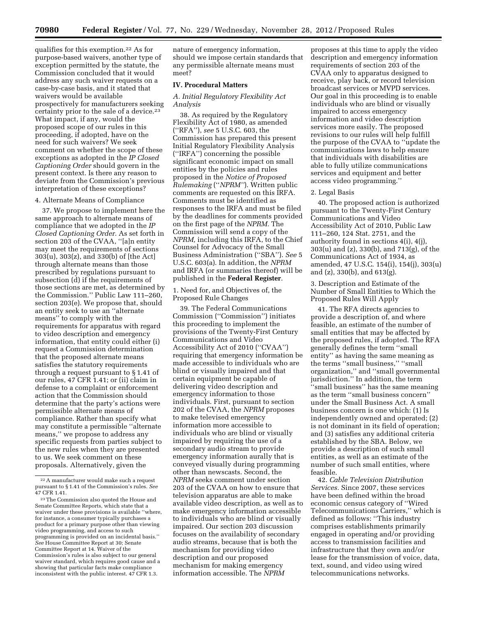qualifies for this exemption.22 As for purpose-based waivers, another type of exception permitted by the statute, the Commission concluded that it would address any such waiver requests on a case-by-case basis, and it stated that waivers would be available prospectively for manufacturers seeking certainty prior to the sale of a device.<sup>23</sup> What impact, if any, would the proposed scope of our rules in this proceeding, if adopted, have on the need for such waivers? We seek comment on whether the scope of these exceptions as adopted in the *IP Closed Captioning Order* should govern in the present context. Is there any reason to deviate from the Commission's previous interpretation of these exceptions?

### 4. Alternate Means of Compliance

37. We propose to implement here the same approach to alternate means of compliance that we adopted in the *IP Closed Captioning Order.* As set forth in section 203 of the CVAA, ''[a]n entity may meet the requirements of sections 303(u), 303(z), and 330(b) of [the Act] through alternate means than those prescribed by regulations pursuant to subsection (d) if the requirements of those sections are met, as determined by the Commission.'' Public Law 111–260, section 203(e). We propose that, should an entity seek to use an ''alternate means'' to comply with the requirements for apparatus with regard to video description and emergency information, that entity could either (i) request a Commission determination that the proposed alternate means satisfies the statutory requirements through a request pursuant to § 1.41 of our rules, 47 CFR 1.41; or (ii) claim in defense to a complaint or enforcement action that the Commission should determine that the party's actions were permissible alternate means of compliance. Rather than specify what may constitute a permissible ''alternate means,'' we propose to address any specific requests from parties subject to the new rules when they are presented to us. We seek comment on these proposals. Alternatively, given the

nature of emergency information, should we impose certain standards that any permissible alternate means must meet?

# **IV. Procedural Matters**

# *A. Initial Regulatory Flexibility Act Analysis*

38. As required by the Regulatory Flexibility Act of 1980, as amended (''RFA''), *see* 5 U.S.C. 603, the Commission has prepared this present Initial Regulatory Flexibility Analysis (''IRFA'') concerning the possible significant economic impact on small entities by the policies and rules proposed in the *Notice of Proposed Rulemaking* (''*NPRM''*). Written public comments are requested on this IRFA. Comments must be identified as responses to the IRFA and must be filed by the deadlines for comments provided on the first page of the *NPRM.* The Commission will send a copy of the *NPRM,* including this IRFA, to the Chief Counsel for Advocacy of the Small Business Administration (''SBA''). *See* 5 U.S.C. 603(a). In addition, the *NPRM*  and IRFA (or summaries thereof) will be published in the **Federal Register**.

1. Need for, and Objectives of, the Proposed Rule Changes

39. The Federal Communications Commission (''Commission'') initiates this proceeding to implement the provisions of the Twenty-First Century Communications and Video Accessibility Act of 2010 (''CVAA'') requiring that emergency information be made accessible to individuals who are blind or visually impaired and that certain equipment be capable of delivering video description and emergency information to those individuals. First, pursuant to section 202 of the CVAA, the *NPRM* proposes to make televised emergency information more accessible to individuals who are blind or visually impaired by requiring the use of a secondary audio stream to provide emergency information aurally that is conveyed visually during programming other than newscasts. Second, the *NPRM* seeks comment under section 203 of the CVAA on how to ensure that television apparatus are able to make available video description, as well as to make emergency information accessible to individuals who are blind or visually impaired. Our section 203 discussion focuses on the availability of secondary audio streams, because that is both the mechanism for providing video description and our proposed mechanism for making emergency information accessible. The *NPRM* 

proposes at this time to apply the video description and emergency information requirements of section 203 of the CVAA only to apparatus designed to receive, play back, or record television broadcast services or MVPD services. Our goal in this proceeding is to enable individuals who are blind or visually impaired to access emergency information and video description services more easily. The proposed revisions to our rules will help fulfill the purpose of the CVAA to ''update the communications laws to help ensure that individuals with disabilities are able to fully utilize communications services and equipment and better access video programming.''

## 2. Legal Basis

40. The proposed action is authorized pursuant to the Twenty-First Century Communications and Video Accessibility Act of 2010, Public Law 111–260, 124 Stat. 2751, and the authority found in sections 4(i), 4(j), 303(u) and (z), 330(b), and 713(g), of the Communications Act of 1934, as amended, 47 U.S.C. 154(i), 154(j), 303(u) and (z), 330(b), and 613(g).

3. Description and Estimate of the Number of Small Entities to Which the Proposed Rules Will Apply

41. The RFA directs agencies to provide a description of, and where feasible, an estimate of the number of small entities that may be affected by the proposed rules, if adopted. The RFA generally defines the term ''small entity'' as having the same meaning as the terms ''small business,'' ''small organization,'' and ''small governmental jurisdiction.'' In addition, the term ''small business'' has the same meaning as the term ''small business concern'' under the Small Business Act. A small business concern is one which: (1) Is independently owned and operated; (2) is not dominant in its field of operation; and (3) satisfies any additional criteria established by the SBA. Below, we provide a description of such small entities, as well as an estimate of the number of such small entities, where feasible.

42. *Cable Television Distribution Services.* Since 2007, these services have been defined within the broad economic census category of ''Wired Telecommunications Carriers,'' which is defined as follows: ''This industry comprises establishments primarily engaged in operating and/or providing access to transmission facilities and infrastructure that they own and/or lease for the transmission of voice, data, text, sound, and video using wired telecommunications networks.

<sup>22</sup>A manufacturer would make such a request pursuant to § 1.41 of the Commission's rules. *See*  47 CFR 1.41.

<sup>23</sup>The Commission also quoted the House and Senate Committee Reports, which state that a waiver under these provisions is available ''where, for instance, a consumer typically purchases a product for a primary purpose other than viewing video programming, and access to such programming is provided on an incidental basis.'' *See* House Committee Report at 30; Senate Committee Report at 14. Waiver of the Commission's rules is also subject to our general waiver standard, which requires good cause and a showing that particular facts make compliance inconsistent with the public interest. 47 CFR 1.3.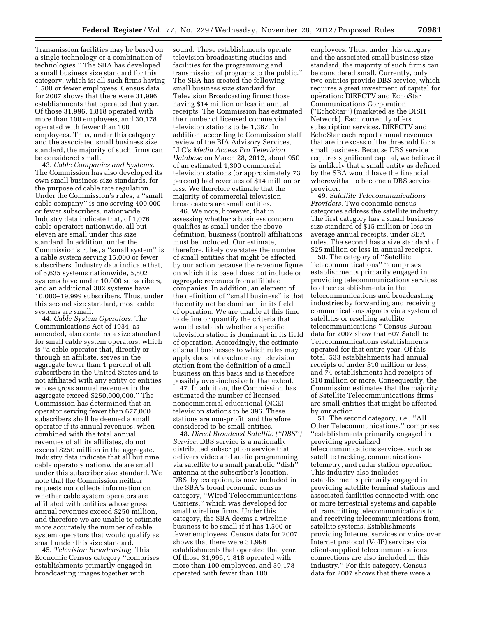Transmission facilities may be based on a single technology or a combination of technologies.'' The SBA has developed a small business size standard for this category, which is: all such firms having 1,500 or fewer employees. Census data for 2007 shows that there were 31,996 establishments that operated that year. Of those 31,996, 1,818 operated with more than 100 employees, and 30,178 operated with fewer than 100 employees. Thus, under this category and the associated small business size standard, the majority of such firms can be considered small.

43. *Cable Companies and Systems.*  The Commission has also developed its own small business size standards, for the purpose of cable rate regulation. Under the Commission's rules, a ''small cable company'' is one serving 400,000 or fewer subscribers, nationwide. Industry data indicate that, of 1,076 cable operators nationwide, all but eleven are small under this size standard. In addition, under the Commission's rules, a ''small system'' is a cable system serving 15,000 or fewer subscribers. Industry data indicate that, of 6,635 systems nationwide, 5,802 systems have under 10,000 subscribers, and an additional 302 systems have 10,000–19,999 subscribers. Thus, under this second size standard, most cable systems are small.

44. *Cable System Operators.* The Communications Act of 1934, as amended, also contains a size standard for small cable system operators, which is ''a cable operator that, directly or through an affiliate, serves in the aggregate fewer than 1 percent of all subscribers in the United States and is not affiliated with any entity or entities whose gross annual revenues in the aggregate exceed \$250,000,000.'' The Commission has determined that an operator serving fewer than 677,000 subscribers shall be deemed a small operator if its annual revenues, when combined with the total annual revenues of all its affiliates, do not exceed \$250 million in the aggregate. Industry data indicate that all but nine cable operators nationwide are small under this subscriber size standard. We note that the Commission neither requests nor collects information on whether cable system operators are affiliated with entities whose gross annual revenues exceed \$250 million, and therefore we are unable to estimate more accurately the number of cable system operators that would qualify as small under this size standard.

45. *Television Broadcasting.* This Economic Census category ''comprises establishments primarily engaged in broadcasting images together with

sound. These establishments operate television broadcasting studios and facilities for the programming and transmission of programs to the public.'' The SBA has created the following small business size standard for Television Broadcasting firms: those having \$14 million or less in annual receipts. The Commission has estimated the number of licensed commercial television stations to be 1,387. In addition, according to Commission staff review of the BIA Advisory Services, LLC's *Media Access Pro Television Database* on March 28, 2012, about 950 of an estimated 1,300 commercial television stations (or approximately 73 percent) had revenues of \$14 million or less. We therefore estimate that the majority of commercial television broadcasters are small entities.

46. We note, however, that in assessing whether a business concern qualifies as small under the above definition, business (control) affiliations must be included. Our estimate, therefore, likely overstates the number of small entities that might be affected by our action because the revenue figure on which it is based does not include or aggregate revenues from affiliated companies. In addition, an element of the definition of ''small business'' is that the entity not be dominant in its field of operation. We are unable at this time to define or quantify the criteria that would establish whether a specific television station is dominant in its field of operation. Accordingly, the estimate of small businesses to which rules may apply does not exclude any television station from the definition of a small business on this basis and is therefore possibly over-inclusive to that extent.

47. In addition, the Commission has estimated the number of licensed noncommercial educational (NCE) television stations to be 396. These stations are non-profit, and therefore considered to be small entities.

48. *Direct Broadcast Satellite (''DBS'') Service.* DBS service is a nationally distributed subscription service that delivers video and audio programming via satellite to a small parabolic ''dish'' antenna at the subscriber's location. DBS, by exception, is now included in the SBA's broad economic census category, ''Wired Telecommunications Carriers,'' which was developed for small wireline firms. Under this category, the SBA deems a wireline business to be small if it has 1,500 or fewer employees. Census data for 2007 shows that there were 31,996 establishments that operated that year. Of those 31,996, 1,818 operated with more than 100 employees, and 30,178 operated with fewer than 100

employees. Thus, under this category and the associated small business size standard, the majority of such firms can be considered small. Currently, only two entities provide DBS service, which requires a great investment of capital for operation: DIRECTV and EchoStar Communications Corporation (''EchoStar'') (marketed as the DISH Network). Each currently offers subscription services. DIRECTV and EchoStar each report annual revenues that are in excess of the threshold for a small business. Because DBS service requires significant capital, we believe it is unlikely that a small entity as defined by the SBA would have the financial wherewithal to become a DBS service provider.

49. *Satellite Telecommunications Providers.* Two economic census categories address the satellite industry. The first category has a small business size standard of \$15 million or less in average annual receipts, under SBA rules. The second has a size standard of \$25 million or less in annual receipts.

50. The category of ''Satellite Telecommunications'' ''comprises establishments primarily engaged in providing telecommunications services to other establishments in the telecommunications and broadcasting industries by forwarding and receiving communications signals via a system of satellites or reselling satellite telecommunications.'' Census Bureau data for 2007 show that 607 Satellite Telecommunications establishments operated for that entire year. Of this total, 533 establishments had annual receipts of under \$10 million or less, and 74 establishments had receipts of \$10 million or more. Consequently, the Commission estimates that the majority of Satellite Telecommunications firms are small entities that might be affected by our action.

51. The second category, *i.e.,* ''All Other Telecommunications,'' comprises ''establishments primarily engaged in providing specialized telecommunications services, such as satellite tracking, communications telemetry, and radar station operation. This industry also includes establishments primarily engaged in providing satellite terminal stations and associated facilities connected with one or more terrestrial systems and capable of transmitting telecommunications to, and receiving telecommunications from, satellite systems. Establishments providing Internet services or voice over Internet protocol (VoIP) services via client-supplied telecommunications connections are also included in this industry.'' For this category, Census data for 2007 shows that there were a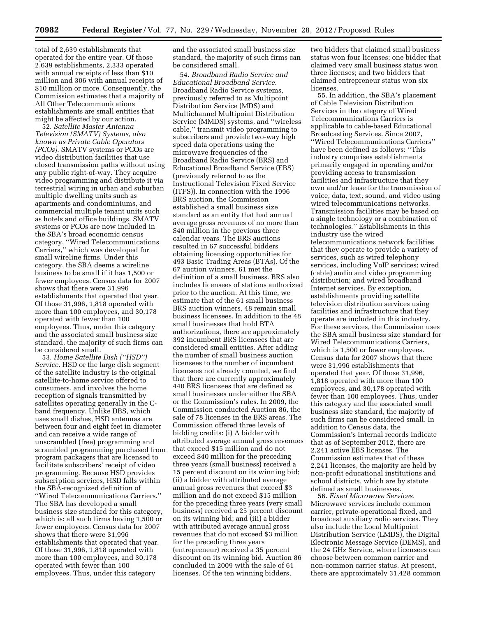total of 2,639 establishments that operated for the entire year. Of those 2,639 establishments, 2,333 operated with annual receipts of less than \$10 million and 306 with annual receipts of \$10 million or more. Consequently, the Commission estimates that a majority of All Other Telecommunications establishments are small entities that might be affected by our action.

52. *Satellite Master Antenna Television (SMATV) Systems, also known as Private Cable Operators (PCOs).* SMATV systems or PCOs are video distribution facilities that use closed transmission paths without using any public right-of-way. They acquire video programming and distribute it via terrestrial wiring in urban and suburban multiple dwelling units such as apartments and condominiums, and commercial multiple tenant units such as hotels and office buildings. SMATV systems or PCOs are now included in the SBA's broad economic census category, ''Wired Telecommunications Carriers,'' which was developed for small wireline firms. Under this category, the SBA deems a wireline business to be small if it has 1,500 or fewer employees. Census data for 2007 shows that there were 31,996 establishments that operated that year. Of those 31,996, 1,818 operated with more than 100 employees, and 30,178 operated with fewer than 100 employees. Thus, under this category and the associated small business size standard, the majority of such firms can be considered small.

53. *Home Satellite Dish (''HSD'') Service.* HSD or the large dish segment of the satellite industry is the original satellite-to-home service offered to consumers, and involves the home reception of signals transmitted by satellites operating generally in the Cband frequency. Unlike DBS, which uses small dishes, HSD antennas are between four and eight feet in diameter and can receive a wide range of unscrambled (free) programming and scrambled programming purchased from program packagers that are licensed to facilitate subscribers' receipt of video programming. Because HSD provides subscription services, HSD falls within the SBA-recognized definition of ''Wired Telecommunications Carriers.'' The SBA has developed a small business size standard for this category, which is: all such firms having 1,500 or fewer employees. Census data for 2007 shows that there were 31,996 establishments that operated that year. Of those 31,996, 1,818 operated with more than 100 employees, and 30,178 operated with fewer than 100 employees. Thus, under this category

and the associated small business size standard, the majority of such firms can be considered small.

54. *Broadband Radio Service and Educational Broadband Service.*  Broadband Radio Service systems, previously referred to as Multipoint Distribution Service (MDS) and Multichannel Multipoint Distribution Service (MMDS) systems, and ''wireless cable,'' transmit video programming to subscribers and provide two-way high speed data operations using the microwave frequencies of the Broadband Radio Service (BRS) and Educational Broadband Service (EBS) (previously referred to as the Instructional Television Fixed Service (ITFS)). In connection with the 1996 BRS auction, the Commission established a small business size standard as an entity that had annual average gross revenues of no more than \$40 million in the previous three calendar years. The BRS auctions resulted in 67 successful bidders obtaining licensing opportunities for 493 Basic Trading Areas (BTAs). Of the 67 auction winners, 61 met the definition of a small business. BRS also includes licensees of stations authorized prior to the auction. At this time, we estimate that of the 61 small business BRS auction winners, 48 remain small business licensees. In addition to the 48 small businesses that hold BTA authorizations, there are approximately 392 incumbent BRS licensees that are considered small entities. After adding the number of small business auction licensees to the number of incumbent licensees not already counted, we find that there are currently approximately 440 BRS licensees that are defined as small businesses under either the SBA or the Commission's rules. In 2009, the Commission conducted Auction 86, the sale of 78 licenses in the BRS areas. The Commission offered three levels of bidding credits: (i) A bidder with attributed average annual gross revenues that exceed \$15 million and do not exceed \$40 million for the preceding three years (small business) received a 15 percent discount on its winning bid; (ii) a bidder with attributed average annual gross revenues that exceed \$3 million and do not exceed \$15 million for the preceding three years (very small business) received a 25 percent discount on its winning bid; and (iii) a bidder with attributed average annual gross revenues that do not exceed \$3 million for the preceding three years (entrepreneur) received a 35 percent discount on its winning bid. Auction 86 concluded in 2009 with the sale of 61 licenses. Of the ten winning bidders,

two bidders that claimed small business status won four licenses; one bidder that claimed very small business status won three licenses; and two bidders that claimed entrepreneur status won six licenses.

55. In addition, the SBA's placement of Cable Television Distribution Services in the category of Wired Telecommunications Carriers is applicable to cable-based Educational Broadcasting Services. Since 2007, ''Wired Telecommunications Carriers'' have been defined as follows: ''This industry comprises establishments primarily engaged in operating and/or providing access to transmission facilities and infrastructure that they own and/or lease for the transmission of voice, data, text, sound, and video using wired telecommunications networks. Transmission facilities may be based on a single technology or a combination of technologies.'' Establishments in this industry use the wired telecommunications network facilities that they operate to provide a variety of services, such as wired telephony services, including VoIP services; wired (cable) audio and video programming distribution; and wired broadband Internet services. By exception, establishments providing satellite television distribution services using facilities and infrastructure that they operate are included in this industry. For these services, the Commission uses the SBA small business size standard for Wired Telecommunications Carriers, which is 1,500 or fewer employees. Census data for 2007 shows that there were 31,996 establishments that operated that year. Of those 31,996, 1,818 operated with more than 100 employees, and 30,178 operated with fewer than 100 employees. Thus, under this category and the associated small business size standard, the majority of such firms can be considered small. In addition to Census data, the Commission's internal records indicate that as of September 2012, there are 2,241 active EBS licenses. The Commission estimates that of these 2,241 licenses, the majority are held by non-profit educational institutions and school districts, which are by statute defined as small businesses.

56. *Fixed Microwave Services.*  Microwave services include common carrier, private-operational fixed, and broadcast auxiliary radio services. They also include the Local Multipoint Distribution Service (LMDS), the Digital Electronic Message Service (DEMS), and the 24 GHz Service, where licensees can choose between common carrier and non-common carrier status. At present, there are approximately 31,428 common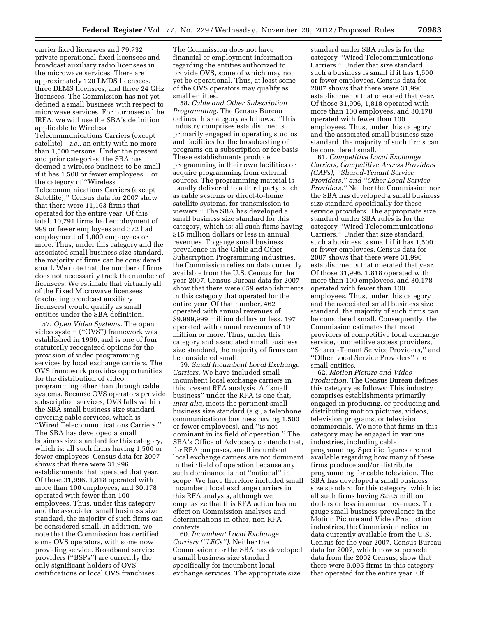carrier fixed licensees and 79,732 private operational-fixed licensees and broadcast auxiliary radio licensees in the microwave services. There are approximately 120 LMDS licensees, three DEMS licensees, and three 24 GHz licensees. The Commission has not yet defined a small business with respect to microwave services. For purposes of the IRFA, we will use the SBA's definition applicable to Wireless Telecommunications Carriers (except satellite)—*i.e.,* an entity with no more than 1,500 persons. Under the present and prior categories, the SBA has deemed a wireless business to be small if it has 1,500 or fewer employees. For the category of ''Wireless Telecommunications Carriers (except Satellite),'' Census data for 2007 show that there were 11,163 firms that operated for the entire year. Of this total, 10,791 firms had employment of 999 or fewer employees and 372 had employment of 1,000 employees or more. Thus, under this category and the associated small business size standard, the majority of firms can be considered small. We note that the number of firms does not necessarily track the number of licensees. We estimate that virtually all of the Fixed Microwave licensees (excluding broadcast auxiliary licensees) would qualify as small entities under the SBA definition.

57. *Open Video Systems.* The open video system (''OVS'') framework was established in 1996, and is one of four statutorily recognized options for the provision of video programming services by local exchange carriers. The OVS framework provides opportunities for the distribution of video programming other than through cable systems. Because OVS operators provide subscription services, OVS falls within the SBA small business size standard covering cable services, which is ''Wired Telecommunications Carriers.'' The SBA has developed a small business size standard for this category, which is: all such firms having 1,500 or fewer employees. Census data for 2007 shows that there were 31,996 establishments that operated that year. Of those 31,996, 1,818 operated with more than 100 employees, and 30,178 operated with fewer than 100 employees. Thus, under this category and the associated small business size standard, the majority of such firms can be considered small. In addition, we note that the Commission has certified some OVS operators, with some now providing service. Broadband service providers (''BSPs'') are currently the only significant holders of OVS certifications or local OVS franchises.

The Commission does not have financial or employment information regarding the entities authorized to provide OVS, some of which may not yet be operational. Thus, at least some of the OVS operators may qualify as small entities.

58. *Cable and Other Subscription Programming.* The Census Bureau defines this category as follows: ''This industry comprises establishments primarily engaged in operating studios and facilities for the broadcasting of programs on a subscription or fee basis. These establishments produce programming in their own facilities or acquire programming from external sources. The programming material is usually delivered to a third party, such as cable systems or direct-to-home satellite systems, for transmission to viewers.'' The SBA has developed a small business size standard for this category, which is: all such firms having \$15 million dollars or less in annual revenues. To gauge small business prevalence in the Cable and Other Subscription Programming industries, the Commission relies on data currently available from the U.S. Census for the year 2007. Census Bureau data for 2007 show that there were 659 establishments in this category that operated for the entire year. Of that number, 462 operated with annual revenues of \$9,999,999 million dollars or less. 197 operated with annual revenues of 10 million or more. Thus, under this category and associated small business size standard, the majority of firms can be considered small.

59. *Small Incumbent Local Exchange Carriers.* We have included small incumbent local exchange carriers in this present RFA analysis. A ''small business'' under the RFA is one that, *inter alia,* meets the pertinent small business size standard (*e.g.,* a telephone communications business having 1,500 or fewer employees), and ''is not dominant in its field of operation.'' The SBA's Office of Advocacy contends that, for RFA purposes, small incumbent local exchange carriers are not dominant in their field of operation because any such dominance is not ''national'' in scope. We have therefore included small incumbent local exchange carriers in this RFA analysis, although we emphasize that this RFA action has no effect on Commission analyses and determinations in other, non-RFA contexts.

60. *Incumbent Local Exchange Carriers (''LECs'').* Neither the Commission nor the SBA has developed a small business size standard specifically for incumbent local exchange services. The appropriate size

standard under SBA rules is for the category ''Wired Telecommunications Carriers.'' Under that size standard, such a business is small if it has 1,500 or fewer employees. Census data for 2007 shows that there were 31,996 establishments that operated that year. Of those 31,996, 1,818 operated with more than 100 employees, and 30,178 operated with fewer than 100 employees. Thus, under this category and the associated small business size standard, the majority of such firms can be considered small.

61. *Competitive Local Exchange Carriers, Competitive Access Providers (CAPs), ''Shared-Tenant Service Providers,'' and ''Other Local Service Providers.''* Neither the Commission nor the SBA has developed a small business size standard specifically for these service providers. The appropriate size standard under SBA rules is for the category ''Wired Telecommunications Carriers." Under that size standard, such a business is small if it has 1,500 or fewer employees. Census data for 2007 shows that there were 31,996 establishments that operated that year. Of those 31,996, 1,818 operated with more than 100 employees, and 30,178 operated with fewer than 100 employees. Thus, under this category and the associated small business size standard, the majority of such firms can be considered small. Consequently, the Commission estimates that most providers of competitive local exchange service, competitive access providers, ''Shared-Tenant Service Providers,'' and ''Other Local Service Providers'' are small entities.

62. *Motion Picture and Video Production.* The Census Bureau defines this category as follows: This industry comprises establishments primarily engaged in producing, or producing and distributing motion pictures, videos, television programs, or television commercials. We note that firms in this category may be engaged in various industries, including cable programming. Specific figures are not available regarding how many of these firms produce and/or distribute programming for cable television. The SBA has developed a small business size standard for this category, which is: all such firms having \$29.5 million dollars or less in annual revenues. To gauge small business prevalence in the Motion Picture and Video Production industries, the Commission relies on data currently available from the U.S. Census for the year 2007. Census Bureau data for 2007, which now supersede data from the 2002 Census, show that there were 9,095 firms in this category that operated for the entire year. Of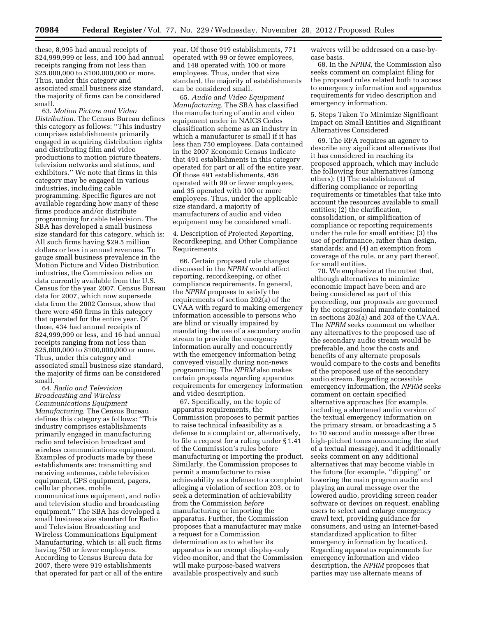these, 8,995 had annual receipts of \$24,999,999 or less, and 100 had annual receipts ranging from not less than \$25,000,000 to \$100,000,000 or more. Thus, under this category and associated small business size standard, the majority of firms can be considered small.

63. *Motion Picture and Video Distribution.* The Census Bureau defines this category as follows: ''This industry comprises establishments primarily engaged in acquiring distribution rights and distributing film and video productions to motion picture theaters, television networks and stations, and exhibitors.'' We note that firms in this category may be engaged in various industries, including cable programming. Specific figures are not available regarding how many of these firms produce and/or distribute programming for cable television. The SBA has developed a small business size standard for this category, which is: All such firms having \$29.5 million dollars or less in annual revenues. To gauge small business prevalence in the Motion Picture and Video Distribution industries, the Commission relies on data currently available from the U.S. Census for the year 2007. Census Bureau data for 2007, which now supersede data from the 2002 Census, show that there were 450 firms in this category that operated for the entire year. Of these, 434 had annual receipts of \$24,999,999 or less, and 16 had annual receipts ranging from not less than \$25,000,000 to \$100,000,000 or more. Thus, under this category and associated small business size standard, the majority of firms can be considered small.

64. *Radio and Television Broadcasting and Wireless Communications Equipment Manufacturing.* The Census Bureau defines this category as follows: ''This industry comprises establishments primarily engaged in manufacturing radio and television broadcast and wireless communications equipment. Examples of products made by these establishments are: transmitting and receiving antennas, cable television equipment, GPS equipment, pagers, cellular phones, mobile communications equipment, and radio and television studio and broadcasting equipment.'' The SBA has developed a small business size standard for Radio and Television Broadcasting and Wireless Communications Equipment Manufacturing, which is: all such firms having 750 or fewer employees. According to Census Bureau data for 2007, there were 919 establishments that operated for part or all of the entire year. Of those 919 establishments, 771 operated with 99 or fewer employees, and 148 operated with 100 or more employees. Thus, under that size standard, the majority of establishments can be considered small.

65. *Audio and Video Equipment Manufacturing.* The SBA has classified the manufacturing of audio and video equipment under in NAICS Codes classification scheme as an industry in which a manufacturer is small if it has less than 750 employees. Data contained in the 2007 Economic Census indicate that 491 establishments in this category operated for part or all of the entire year. Of those 491 establishments, 456 operated with 99 or fewer employees, and 35 operated with 100 or more employees. Thus, under the applicable size standard, a majority of manufacturers of audio and video equipment may be considered small.

4. Description of Projected Reporting, Recordkeeping, and Other Compliance Requirements

66. Certain proposed rule changes discussed in the *NPRM* would affect reporting, recordkeeping, or other compliance requirements. In general, the *NPRM* proposes to satisfy the requirements of section 202(a) of the CVAA with regard to making emergency information accessible to persons who are blind or visually impaired by mandating the use of a secondary audio stream to provide the emergency information aurally and concurrently with the emergency information being conveyed visually during non-news programming. The *NPRM* also makes certain proposals regarding apparatus requirements for emergency information and video description.

67. Specifically, on the topic of apparatus requirements, the Commission proposes to permit parties to raise technical infeasibility as a defense to a complaint or, alternatively, to file a request for a ruling under § 1.41 of the Commission's rules before manufacturing or importing the product. Similarly, the Commission proposes to permit a manufacturer to raise achievability as a defense to a complaint alleging a violation of section 203, or to seek a determination of achievability from the Commission *before*  manufacturing or importing the apparatus. Further, the Commission proposes that a manufacturer may make a request for a Commission determination as to whether its apparatus is an exempt display-only video monitor, and that the Commission will make purpose-based waivers available prospectively and such

waivers will be addressed on a case-bycase basis.

68. In the *NPRM,* the Commission also seeks comment on complaint filing for the proposed rules related both to access to emergency information and apparatus requirements for video description and emergency information.

5. Steps Taken To Minimize Significant Impact on Small Entities and Significant Alternatives Considered

69. The RFA requires an agency to describe any significant alternatives that it has considered in reaching its proposed approach, which may include the following four alternatives (among others): (1) The establishment of differing compliance or reporting requirements or timetables that take into account the resources available to small entities; (2) the clarification, consolidation, or simplification of compliance or reporting requirements under the rule for small entities; (3) the use of performance, rather than design, standards; and (4) an exemption from coverage of the rule, or any part thereof, for small entities.

70. We emphasize at the outset that, although alternatives to minimize economic impact have been and are being considered as part of this proceeding, our proposals are governed by the congressional mandate contained in sections 202(a) and 203 of the CVAA. The *NPRM* seeks comment on whether any alternatives to the proposed use of the secondary audio stream would be preferable, and how the costs and benefits of any alternate proposals would compare to the costs and benefits of the proposed use of the secondary audio stream. Regarding accessible emergency information, the *NPRM* seeks comment on certain specified alternative approaches (for example, including a shortened audio version of the textual emergency information on the primary stream, or broadcasting a 5 to 10 second audio message after three high-pitched tones announcing the start of a textual message), and it additionally seeks comment on any additional alternatives that may become viable in the future (for example, ''dipping'' or lowering the main program audio and playing an aural message over the lowered audio, providing screen reader software or devices on request, enabling users to select and enlarge emergency crawl text, providing guidance for consumers, and using an Internet-based standardized application to filter emergency information by location). Regarding apparatus requirements for emergency information and video description, the *NPRM* proposes that parties may use alternate means of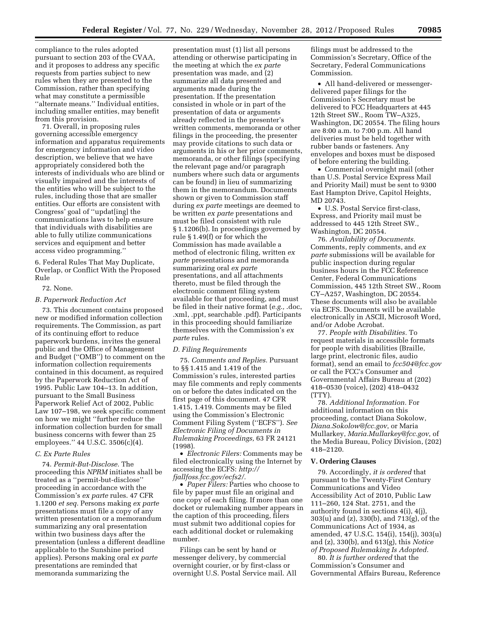compliance to the rules adopted pursuant to section 203 of the CVAA, and it proposes to address any specific requests from parties subject to new rules when they are presented to the Commission, rather than specifying what may constitute a permissible ''alternate means.'' Individual entities, including smaller entities, may benefit from this provision.

71. Overall, in proposing rules governing accessible emergency information and apparatus requirements for emergency information and video description, we believe that we have appropriately considered both the interests of individuals who are blind or visually impaired and the interests of the entities who will be subject to the rules, including those that are smaller entities. Our efforts are consistent with Congress' goal of ''updat[ing] the communications laws to help ensure that individuals with disabilities are able to fully utilize communications services and equipment and better access video programming.''

6. Federal Rules That May Duplicate, Overlap, or Conflict With the Proposed Rule

#### 72. None.

## *B. Paperwork Reduction Act*

73. This document contains proposed new or modified information collection requirements. The Commission, as part of its continuing effort to reduce paperwork burdens, invites the general public and the Office of Management and Budget (''OMB'') to comment on the information collection requirements contained in this document, as required by the Paperwork Reduction Act of 1995. Public Law 104–13. In addition, pursuant to the Small Business Paperwork Relief Act of 2002, Public Law 107–198, we seek specific comment on how we might ''further reduce the information collection burden for small business concerns with fewer than 25 employees.'' 44 U.S.C. 3506(c)(4).

#### *C. Ex Parte Rules*

74. *Permit-But-Disclose.* The proceeding this *NPRM* initiates shall be treated as a ''permit-but-disclose'' proceeding in accordance with the Commission's *ex parte* rules. 47 CFR 1.1200 *et seq.* Persons making *ex parte*  presentations must file a copy of any written presentation or a memorandum summarizing any oral presentation within two business days after the presentation (unless a different deadline applicable to the Sunshine period applies). Persons making oral *ex parte*  presentations are reminded that memoranda summarizing the

presentation must (1) list all persons attending or otherwise participating in the meeting at which the *ex parte*  presentation was made, and (2) summarize all data presented and arguments made during the presentation. If the presentation consisted in whole or in part of the presentation of data or arguments already reflected in the presenter's written comments, memoranda or other filings in the proceeding, the presenter may provide citations to such data or arguments in his or her prior comments, memoranda, or other filings (specifying the relevant page and/or paragraph numbers where such data or arguments can be found) in lieu of summarizing them in the memorandum. Documents shown or given to Commission staff during *ex parte* meetings are deemed to be written *ex parte* presentations and must be filed consistent with rule § 1.1206(b). In proceedings governed by rule § 1.49(f) or for which the Commission has made available a method of electronic filing, written *ex parte* presentations and memoranda summarizing oral *ex parte*  presentations, and all attachments thereto, must be filed through the electronic comment filing system available for that proceeding, and must be filed in their native format (*e.g.,* .doc, .xml, .ppt, searchable .pdf). Participants in this proceeding should familiarize themselves with the Commission's *ex parte* rules.

#### *D. Filing Requirements*

75. *Comments and Replies.* Pursuant to §§ 1.415 and 1.419 of the Commission's rules, interested parties may file comments and reply comments on or before the dates indicated on the first page of this document. 47 CFR 1.415, 1.419. Comments may be filed using the Commission's Electronic Comment Filing System (''ECFS''). *See Electronic Filing of Documents in Rulemaking Proceedings,* 63 FR 24121 (1998).

• *Electronic Filers:* Comments may be filed electronically using the Internet by accessing the ECFS: *[http://](http://fjallfoss.fcc.gov/ecfs2/)  [fjallfoss.fcc.gov/ecfs2/.](http://fjallfoss.fcc.gov/ecfs2/)* 

• *Paper Filers:* Parties who choose to file by paper must file an original and one copy of each filing. If more than one docket or rulemaking number appears in the caption of this proceeding, filers must submit two additional copies for each additional docket or rulemaking number.

Filings can be sent by hand or messenger delivery, by commercial overnight courier, or by first-class or overnight U.S. Postal Service mail. All

filings must be addressed to the Commission's Secretary, Office of the Secretary, Federal Communications Commission.

• All hand-delivered or messengerdelivered paper filings for the Commission's Secretary must be delivered to FCC Headquarters at 445 12th Street SW., Room TW–A325, Washington, DC 20554. The filing hours are 8:00 a.m. to 7:00 p.m. All hand deliveries must be held together with rubber bands or fasteners. Any envelopes and boxes must be disposed of before entering the building.

• Commercial overnight mail (other than U.S. Postal Service Express Mail and Priority Mail) must be sent to 9300 East Hampton Drive, Capitol Heights, MD 20743.

• U.S. Postal Service first-class, Express, and Priority mail must be addressed to 445 12th Street SW., Washington, DC 20554.

76. *Availability of Documents.*  Comments, reply comments, and *ex parte* submissions will be available for public inspection during regular business hours in the FCC Reference Center, Federal Communications Commission, 445 12th Street SW., Room CY–A257, Washington, DC 20554. These documents will also be available via ECFS. Documents will be available electronically in ASCII, Microsoft Word, and/or Adobe Acrobat.

77. *People with Disabilities.* To request materials in accessible formats for people with disabilities (Braille, large print, electronic files, audio format), send an email to *[fcc504@fcc.gov](mailto:fcc504@fcc.gov)*  or call the FCC's Consumer and Governmental Affairs Bureau at (202) 418–0530 (voice), (202) 418–0432 (TTY).

78. *Additional Information.* For additional information on this proceeding, contact Diana Sokolow, *[Diana.Sokolow@fcc.gov](mailto:Diana.Sokolow@fcc.gov)*, or Maria Mullarkey, *[Maria.Mullarkey@fcc.gov](mailto:Maria.Mullarkey@fcc.gov)*, of the Media Bureau, Policy Division, (202) 418–2120.

## **V. Ordering Clauses**

79. Accordingly, *it is ordered* that pursuant to the Twenty-First Century Communications and Video Accessibility Act of 2010, Public Law 111–260, 124 Stat. 2751, and the authority found in sections 4(i), 4(j), 303(u) and (z), 330(b), and 713(g), of the Communications Act of 1934, as amended, 47 U.S.C. 154(i), 154(j), 303(u) and (z), 330(b), and 613(g), this *Notice of Proposed Rulemaking Is Adopted.* 

80. *It is further ordered* that the Commission's Consumer and Governmental Affairs Bureau, Reference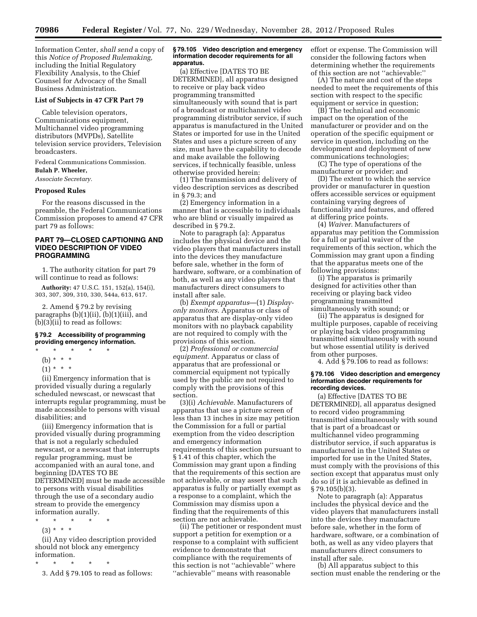Information Center, *shall send* a copy of this *Notice of Proposed Rulemaking,*  including the Initial Regulatory Flexibility Analysis, to the Chief Counsel for Advocacy of the Small Business Administration.

#### **List of Subjects in 47 CFR Part 79**

Cable television operators, Communications equipment, Multichannel video programming distributors (MVPDs), Satellite television service providers, Television broadcasters.

Federal Communications Commission.

# **Bulah P. Wheeler,**

*Associate Secretary.* 

### **Proposed Rules**

For the reasons discussed in the preamble, the Federal Communications Commission proposes to amend 47 CFR part 79 as follows:

# **PART 79—CLOSED CAPTIONING AND VIDEO DESCRIPTION OF VIDEO PROGRAMMING**

1. The authority citation for part 79 will continue to read as follows:

**Authority:** 47 U.S.C. 151, 152(a), 154(i), 303, 307, 309, 310, 330, 544a, 613, 617.

2. Amend § 79.2 by revising paragraphs (b)(1)(ii), (b)(1)(iii), and (b)(3)(ii) to read as follows:

## **§ 79.2 Accessibility of programming providing emergency information.**

- \* \* \* \* \*
- (b) \* \* \*
- $(1) * * * *$

(ii) Emergency information that is provided visually during a regularly scheduled newscast, or newscast that interrupts regular programming, must be made accessible to persons with visual disabilities; and

(iii) Emergency information that is provided visually during programming that is not a regularly scheduled newscast, or a newscast that interrupts regular programming, must be accompanied with an aural tone, and beginning [DATES TO BE DETERMINED] must be made accessible to persons with visual disabilities through the use of a secondary audio stream to provide the emergency information aurally.

- \* \* \* \* \*
	- (3) \* \* \*

(ii) Any video description provided should not block any emergency information.

\* \* \* \* \*

3. Add § 79.105 to read as follows:

#### **§ 79.105 Video description and emergency information decoder requirements for all apparatus.**

(a) Effective [DATES TO BE DETERMINED], all apparatus designed to receive or play back video programming transmitted simultaneously with sound that is part of a broadcast or multichannel video programming distributor service, if such apparatus is manufactured in the United States or imported for use in the United States and uses a picture screen of any size, must have the capability to decode and make available the following services, if technically feasible, unless otherwise provided herein:

(1) The transmission and delivery of video description services as described in § 79.3; and

(2) Emergency information in a manner that is accessible to individuals who are blind or visually impaired as described in § 79.2.

Note to paragraph (a): Apparatus includes the physical device and the video players that manufacturers install into the devices they manufacture before sale, whether in the form of hardware, software, or a combination of both, as well as any video players that manufacturers direct consumers to install after sale.

(b) *Exempt apparatus*—(1) *Displayonly monitors.* Apparatus or class of apparatus that are display-only video monitors with no playback capability are not required to comply with the provisions of this section.

(2) *Professional or commercial equipment.* Apparatus or class of apparatus that are professional or commercial equipment not typically used by the public are not required to comply with the provisions of this section.

(3)(i) *Achievable.* Manufacturers of apparatus that use a picture screen of less than 13 inches in size may petition the Commission for a full or partial exemption from the video description and emergency information requirements of this section pursuant to § 1.41 of this chapter, which the Commission may grant upon a finding that the requirements of this section are not achievable, or may assert that such apparatus is fully or partially exempt as a response to a complaint, which the Commission may dismiss upon a finding that the requirements of this section are not achievable.

(ii) The petitioner or respondent must support a petition for exemption or a response to a complaint with sufficient evidence to demonstrate that compliance with the requirements of this section is not ''achievable'' where ''achievable'' means with reasonable

effort or expense. The Commission will consider the following factors when determining whether the requirements of this section are not ''achievable:''

(A) The nature and cost of the steps needed to meet the requirements of this section with respect to the specific equipment or service in question;

(B) The technical and economic impact on the operation of the manufacturer or provider and on the operation of the specific equipment or service in question, including on the development and deployment of new communications technologies;

(C) The type of operations of the manufacturer or provider; and

(D) The extent to which the service provider or manufacturer in question offers accessible services or equipment containing varying degrees of functionality and features, and offered at differing price points.

(4) *Waiver.* Manufacturers of apparatus may petition the Commission for a full or partial waiver of the requirements of this section, which the Commission may grant upon a finding that the apparatus meets one of the following provisions:

(i) The apparatus is primarily designed for activities other than receiving or playing back video programming transmitted simultaneously with sound; or

(ii) The apparatus is designed for multiple purposes, capable of receiving or playing back video programming transmitted simultaneously with sound but whose essential utility is derived from other purposes.

4. Add § 79.106 to read as follows:

#### **§ 79.106 Video description and emergency information decoder requirements for recording devices.**

(a) Effective [DATES TO BE DETERMINED], all apparatus designed to record video programming transmitted simultaneously with sound that is part of a broadcast or multichannel video programming distributor service, if such apparatus is manufactured in the United States or imported for use in the United States, must comply with the provisions of this section except that apparatus must only do so if it is achievable as defined in § 79.105(b)(3).

Note to paragraph (a): Apparatus includes the physical device and the video players that manufacturers install into the devices they manufacture before sale, whether in the form of hardware, software, or a combination of both, as well as any video players that manufacturers direct consumers to install after sale.

(b) All apparatus subject to this section must enable the rendering or the